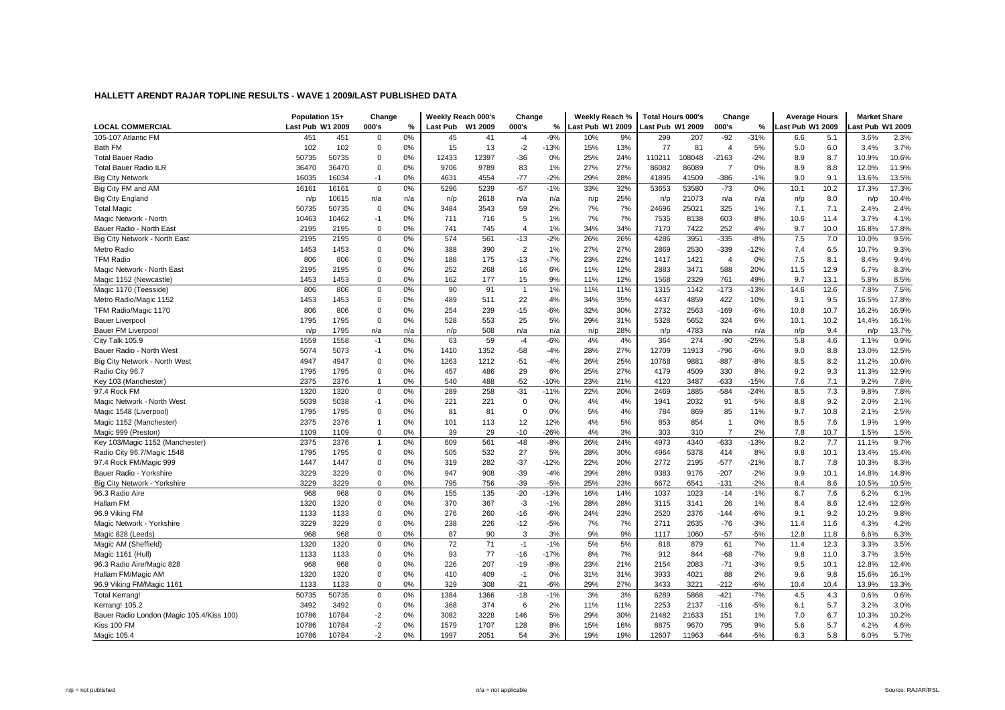|                                           | Population 15+   |       | Change         |     |          | Weeklv Reach 000's | Change         |        | Weekly Reach %   |     | <b>Total Hours 000's</b> |        | Change         |        | <b>Average Hours</b> |      | <b>Market Share</b> |       |
|-------------------------------------------|------------------|-------|----------------|-----|----------|--------------------|----------------|--------|------------------|-----|--------------------------|--------|----------------|--------|----------------------|------|---------------------|-------|
| <b>LOCAL COMMERCIAL</b>                   | Last Pub W1 2009 |       | 000's          | %   | Last Pub | W1 2009            | 000's          | %      | Last Pub W1 2009 |     | <b>Last Pub W1 2009</b>  |        | 000's          | %      | ast Pub W1 2009      |      | ast Pub W1 2009     |       |
| 105-107 Atlantic FM                       | 451              | 451   | $\mathbf 0$    | 0%  | 45       | 41                 | $-4$           | $-9%$  | 10%              | 9%  | 299                      | 207    | $-92$          | $-31%$ | 6.6                  | 5.1  | 3.6%                | 2.3%  |
| Bath FM                                   | 102              | 102   | $\mathbf 0$    | 0%  | 15       | 13                 | $-2$           | $-13%$ | 15%              | 13% | 77                       | 81     | $\overline{4}$ | 5%     | 5.0                  | 6.0  | 3.4%                | 3.7%  |
| <b>Total Bauer Radio</b>                  | 50735            | 50735 | $\mathbf 0$    | 0%  | 12433    | 12397              | $-36$          | 0%     | 25%              | 24% | 110211                   | 108048 | $-2163$        | $-2%$  | 8.9                  | 8.7  | 10.9%               | 10.6% |
| <b>Total Bauer Radio ILR</b>              | 36470            | 36470 | $\mathbf 0$    | 0%  | 9706     | 9789               | 83             | 1%     | 27%              | 27% | 86082                    | 86089  | $\overline{7}$ | 0%     | 8.9                  | 8.8  | 12.0%               | 11.9% |
| <b>Big City Network</b>                   | 16035            | 16034 | $-1$           | 0%  | 4631     | 4554               | $-77$          | $-2%$  | 29%              | 28% | 41895                    | 41509  | $-386$         | $-1%$  | 9.0                  | 9.1  | 13.6%               | 13.5% |
| Big City FM and AM                        | 16161            | 16161 | $\mathbf 0$    | 0%  | 5296     | 5239               | $-57$          | $-1%$  | 33%              | 32% | 53653                    | 53580  | $-73$          | 0%     | 10.1                 | 10.2 | 17.3%               | 17.3% |
| <b>Big City England</b>                   | n/p              | 10615 | n/a            | n/a | n/p      | 2618               | n/a            | n/a    | n/p              | 25% | n/p                      | 21073  | n/a            | n/a    | n/p                  | 8.0  | n/p                 | 10.4% |
| <b>Total Magic</b>                        | 50735            | 50735 | $\mathbf 0$    | 0%  | 3484     | 3543               | 59             | 2%     | 7%               | 7%  | 24696                    | 25021  | 325            | 1%     | 7.1                  | 7.1  | 2.4%                | 2.4%  |
| Magic Network - North                     | 10463            | 10462 | $-1$           | 0%  | 711      | 716                | 5              | 1%     | 7%               | 7%  | 7535                     | 8138   | 603            | 8%     | 10.6                 | 11.4 | 3.7%                | 4.1%  |
| Bauer Radio - North East                  | 2195             | 2195  | $\mathbf 0$    | 0%  | 741      | 745                | $\overline{4}$ | 1%     | 34%              | 34% | 7170                     | 7422   | 252            | 4%     | 9.7                  | 10.0 | 16.8%               | 17.8% |
| Big City Network - North East             | 2195             | 2195  | $\mathbf 0$    | 0%  | 574      | 561                | $-13$          | $-2%$  | 26%              | 26% | 4286                     | 3951   | $-335$         | $-8%$  | 7.5                  | 7.0  | 10.0%               | 9.5%  |
| Metro Radio                               | 1453             | 1453  | $\mathbf 0$    | 0%  | 388      | 390                | $\overline{2}$ | 1%     | 27%              | 27% | 2869                     | 2530   | $-339$         | $-12%$ | 7.4                  | 6.5  | 10.7%               | 9.3%  |
| <b>TFM Radio</b>                          | 806              | 806   | $\mathbf 0$    | 0%  | 188      | 175                | $-13$          | $-7%$  | 23%              | 22% | 1417                     | 1421   | $\overline{4}$ | 0%     | 7.5                  | 8.1  | 8.4%                | 9.4%  |
| Magic Network - North East                | 2195             | 2195  | $\mathbf 0$    | 0%  | 252      | 268                | 16             | 6%     | 11%              | 12% | 2883                     | 3471   | 588            | 20%    | 11.5                 | 12.9 | 6.7%                | 8.3%  |
| Magic 1152 (Newcastle)                    | 1453             | 1453  | $\mathbf 0$    | 0%  | 162      | 177                | 15             | 9%     | 11%              | 12% | 1568                     | 2329   | 761            | 49%    | 9.7                  | 13.1 | 5.8%                | 8.5%  |
| Magic 1170 (Teesside)                     | 806              | 806   | $\mathbf 0$    | 0%  | 90       | 91                 | $\mathbf{1}$   | 1%     | 11%              | 11% | 1315                     | 1142   | $-173$         | $-13%$ | 14.6                 | 12.6 | 7.8%                | 7.5%  |
| Metro Radio/Magic 1152                    | 1453             | 1453  | $\mathbf 0$    | 0%  | 489      | 511                | 22             | 4%     | 34%              | 35% | 4437                     | 4859   | 422            | 10%    | 9.1                  | 9.5  | 16.5%               | 17.8% |
| TFM Radio/Magic 1170                      | 806              | 806   | $\mathbf 0$    | 0%  | 254      | 239                | $-15$          | $-6%$  | 32%              | 30% | 2732                     | 2563   | $-169$         | $-6%$  | 10.8                 | 10.7 | 16.2%               | 16.9% |
| <b>Bauer Liverpool</b>                    | 1795             | 1795  | $\mathbf 0$    | 0%  | 528      | 553                | 25             | 5%     | 29%              | 31% | 5328                     | 5652   | 324            | 6%     | 10.1                 | 10.2 | 14.4%               | 16.1% |
| <b>Bauer FM Liverpool</b>                 | n/p              | 1795  | n/a            | n/a | n/p      | 508                | n/a            | n/a    | n/p              | 28% | n/p                      | 4783   | n/a            | n/a    | n/p                  | 9.4  | n/p                 | 13.7% |
| City Talk 105.9                           | 1559             | 1558  | $-1$           | 0%  | 63       | 59                 | $-4$           | $-6%$  | 4%               | 4%  | 364                      | 274    | $-90$          | $-25%$ | 5.8                  | 4.6  | 1.1%                | 0.9%  |
| Bauer Radio - North West                  | 5074             | 5073  | $-1$           | 0%  | 1410     | 1352               | $-58$          | $-4%$  | 28%              | 27% | 12709                    | 11913  | $-796$         | $-6%$  | 9.0                  | 8.8  | 13.0%               | 12.5% |
| Big City Network - North West             | 4947             | 4947  | $\mathbf 0$    | 0%  | 1263     | 1212               | $-51$          | $-4%$  | 26%              | 25% | 10768                    | 9881   | $-887$         | $-8%$  | 8.5                  | 8.2  | 11.2%               | 10.6% |
| Radio City 96.7                           | 1795             | 1795  | $\mathbf 0$    | 0%  | 457      | 486                | 29             | 6%     | 25%              | 27% | 4179                     | 4509   | 330            | 8%     | 9.2                  | 9.3  | 11.3%               | 12.9% |
| Key 103 (Manchester)                      | 2375             | 2376  | $\overline{1}$ | 0%  | 540      | 488                | $-52$          | $-10%$ | 23%              | 21% | 4120                     | 3487   | $-633$         | $-15%$ | 7.6                  | 7.1  | 9.2%                | 7.8%  |
| 97.4 Rock FM                              | 1320             | 1320  | $\mathbf 0$    | 0%  | 289      | 258                | $-31$          | $-11%$ | 22%              | 20% | 2469                     | 1885   | $-584$         | $-24%$ | 8.5                  | 7.3  | 9.8%                | 7.8%  |
| Magic Network - North West                | 5039             | 5038  | $-1$           | 0%  | 221      | 221                | 0              | 0%     | 4%               | 4%  | 1941                     | 2032   | 91             | 5%     | 8.8                  | 9.2  | 2.0%                | 2.1%  |
| Magic 1548 (Liverpool)                    | 1795             | 1795  | $\mathbf 0$    | 0%  | 81       | 81                 | $\mathbf 0$    | 0%     | 5%               | 4%  | 784                      | 869    | 85             | 11%    | 9.7                  | 10.8 | 2.1%                | 2.5%  |
| Magic 1152 (Manchester)                   | 2375             | 2376  | $\overline{1}$ | 0%  | 101      | 113                | 12             | 12%    | 4%               | 5%  | 853                      | 854    | $\overline{1}$ | 0%     | 8.5                  | 7.6  | 1.9%                | 1.9%  |
| Magic 999 (Preston)                       | 1109             | 1109  | $\mathbf 0$    | 0%  | 39       | 29                 | $-10$          | $-26%$ | 4%               | 3%  | 303                      | 310    | $\overline{7}$ | 2%     | 7.8                  | 10.7 | 1.5%                | 1.5%  |
| Key 103/Magic 1152 (Manchester)           | 2375             | 2376  | $\mathbf{1}$   | 0%  | 609      | 561                | $-48$          | $-8%$  | 26%              | 24% | 4973                     | 4340   | -633           | $-13%$ | 8.2                  | 7.7  | 11.1%               | 9.7%  |
| Radio City 96.7/Magic 1548                | 1795             | 1795  | $\mathbf 0$    | 0%  | 505      | 532                | 27             | 5%     | 28%              | 30% | 4964                     | 5378   | 414            | 8%     | 9.8                  | 10.1 | 13.4%               | 15.4% |
| 97.4 Rock FM/Magic 999                    | 1447             | 1447  | $\mathbf 0$    | 0%  | 319      | 282                | $-37$          | $-12%$ | 22%              | 20% | 2772                     | 2195   | $-577$         | $-21%$ | 8.7                  | 7.8  | 10.3%               | 8.3%  |
| Bauer Radio - Yorkshire                   | 3229             | 3229  | $\mathbf 0$    | 0%  | 947      | 908                | $-39$          | $-4%$  | 29%              | 28% | 9383                     | 9176   | $-207$         | $-2%$  | 9.9                  | 10.1 | 14.8%               | 14.8% |
| Big City Network - Yorkshire              | 3229             | 3229  | $\mathbf 0$    | 0%  | 795      | 756                | $-39$          | $-5%$  | 25%              | 23% | 6672                     | 6541   | $-131$         | $-2%$  | 8.4                  | 8.6  | 10.5%               | 10.5% |
| 96.3 Radio Aire                           | 968              | 968   | $\mathbf 0$    | 0%  | 155      | 135                | $-20$          | $-13%$ | 16%              | 14% | 1037                     | 1023   | $-14$          | $-1%$  | 6.7                  | 7.6  | 6.2%                | 6.1%  |
| Hallam FM                                 | 1320             | 1320  | $\mathbf 0$    | 0%  | 370      | 367                | $-3$           | $-1%$  | 28%              | 28% | 3115                     | 3141   | 26             | 1%     | 8.4                  | 8.6  | 12.4%               | 12.6% |
| 96.9 Viking FM                            | 1133             | 1133  | $\mathbf 0$    | 0%  | 276      | 260                | $-16$          | $-6%$  | 24%              | 23% | 2520                     | 2376   | $-144$         | $-6%$  | 9.1                  | 9.2  | 10.2%               | 9.8%  |
| Magic Network - Yorkshire                 | 3229             | 3229  | $\mathbf 0$    | 0%  | 238      | 226                | $-12$          | $-5%$  | 7%               | 7%  | 2711                     | 2635   | $-76$          | $-3%$  | 11.4                 | 11.6 | 4.3%                | 4.2%  |
| Magic 828 (Leeds)                         | 968              | 968   | $\mathbf 0$    | 0%  | 87       | 90                 | 3              | 3%     | 9%               | 9%  | 1117                     | 1060   | $-57$          | $-5%$  | 12.8                 | 11.8 | 6.6%                | 6.3%  |
| Magic AM (Sheffield)                      | 1320             | 1320  | $\mathbf 0$    | 0%  | 72       | 71                 | $-1$           | $-1%$  | 5%               | 5%  | 818                      | 879    | 61             | 7%     | 11.4                 | 12.3 | 3.3%                | 3.5%  |
| Magic 1161 (Hull)                         | 1133             | 1133  | $\mathbf 0$    | 0%  | 93       | 77                 | $-16$          | $-17%$ | 8%               | 7%  | 912                      | 844    | $-68$          | $-7%$  | 9.8                  | 11.0 | 3.7%                | 3.5%  |
| 96.3 Radio Aire/Magic 828                 | 968              | 968   | $\mathbf 0$    | 0%  | 226      | 207                | $-19$          | $-8%$  | 23%              | 21% | 2154                     | 2083   | $-71$          | -3%    | 9.5                  | 10.1 | 12.8%               | 12.4% |
| Hallam FM/Magic AM                        | 1320             | 1320  | $\mathbf 0$    | 0%  | 410      | 409                | $-1$           | 0%     | 31%              | 31% | 3933                     | 4021   | 88             | 2%     | 9.6                  | 9.8  | 15.6%               | 16.1% |
| 96.9 Viking FM/Magic 1161                 | 1133             | 1133  | $\mathbf 0$    | 0%  | 329      | 308                | $-21$          | $-6%$  | 29%              | 27% | 3433                     | 3221   | $-212$         | $-6%$  | 10.4                 | 10.4 | 13.9%               | 13.3% |
| <b>Total Kerrang!</b>                     | 50735            | 50735 | $\mathbf 0$    | 0%  | 1384     | 1366               | $-18$          | $-1%$  | 3%               | 3%  | 6289                     | 5868   | $-421$         | $-7%$  | 4.5                  | 4.3  | 0.6%                | 0.6%  |
| Kerrang! 105.2                            | 3492             | 3492  | $\mathbf 0$    | 0%  | 368      | 374                | 6              | 2%     | 11%              | 11% | 2253                     | 2137   | $-116$         | $-5%$  | 6.1                  | 5.7  | 3.2%                | 3.0%  |
| Bauer Radio London (Magic 105.4/Kiss 100) | 10786            | 10784 | $-2$           | 0%  | 3082     | 3228               | 146            | 5%     | 29%              | 30% | 21482                    | 21633  | 151            | 1%     | 7.0                  | 6.7  | 10.3%               | 10.2% |
| Kiss 100 FM                               | 10786            | 10784 | $-2$           | 0%  | 1579     | 1707               | 128            | 8%     | 15%              | 16% | 8875                     | 9670   | 795            | 9%     | 5.6                  | 5.7  | 4.2%                | 4.6%  |
| Magic 105.4                               | 10786            | 10784 | $-2$           | 0%  | 1997     | 2051               | 54             | 3%     | 19%              | 19% | 12607                    | 11963  | $-644$         | $-5%$  | 6.3                  | 5.8  | 6.0%                | 5.7%  |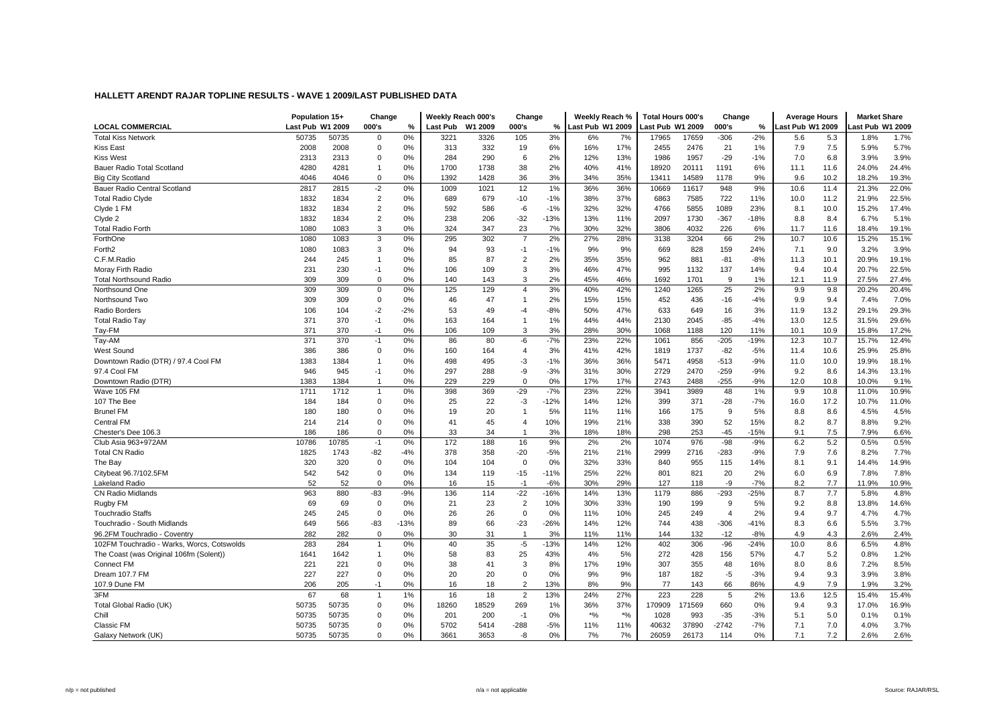|                                            | Population 15+   |       | Change         |        | Weekly Reach 000's |         | Change         |        | Weekly Reach %   |       | <b>Total Hours 000's</b> |        | Change         |        | <b>Average Hours</b> |      | <b>Market Share</b> |       |
|--------------------------------------------|------------------|-------|----------------|--------|--------------------|---------|----------------|--------|------------------|-------|--------------------------|--------|----------------|--------|----------------------|------|---------------------|-------|
| <b>LOCAL COMMERCIAL</b>                    | Last Pub W1 2009 |       | 000's          | %      | Last Pub           | W1 2009 | 000's          | %      | Last Pub W1 2009 |       | Last Pub W1 2009         |        | 000's          | %      | Last Pub W1 2009     |      | ast Pub W1 2009     |       |
| <b>Total Kiss Network</b>                  | 50735            | 50735 | $\mathbf 0$    | 0%     | 3221               | 3326    | 105            | 3%     | 6%               | 7%    | 17965                    | 17659  | $-306$         | $-2%$  | 5.6                  | 5.3  | 1.8%                | 1.7%  |
| <b>Kiss East</b>                           | 2008             | 2008  | $\mathbf 0$    | 0%     | 313                | 332     | 19             | 6%     | 16%              | 17%   | 2455                     | 2476   | 21             | 1%     | 7.9                  | 7.5  | 5.9%                | 5.7%  |
| <b>Kiss West</b>                           | 2313             | 2313  | $\mathbf 0$    | 0%     | 284                | 290     | 6              | 2%     | 12%              | 13%   | 1986                     | 1957   | $-29$          | $-1%$  | 7.0                  | 6.8  | 3.9%                | 3.9%  |
| <b>Bauer Radio Total Scotland</b>          | 4280             | 4281  | $\overline{1}$ | 0%     | 1700               | 1738    | 38             | 2%     | 40%              | 41%   | 18920                    | 20111  | 1191           | 6%     | 11.1                 | 11.6 | 24.0%               | 24.4% |
| <b>Big City Scotland</b>                   | 4046             | 4046  | $\mathbf 0$    | 0%     | 1392               | 1428    | 36             | 3%     | 34%              | 35%   | 13411                    | 14589  | 1178           | 9%     | 9.6                  | 10.2 | 18.2%               | 19.3% |
| Bauer Radio Central Scotland               | 2817             | 2815  | $-2$           | 0%     | 1009               | 1021    | 12             | 1%     | 36%              | 36%   | 10669                    | 11617  | 948            | 9%     | 10.6                 | 11.4 | 21.3%               | 22.0% |
| <b>Total Radio Clyde</b>                   | 1832             | 1834  | 2              | 0%     | 689                | 679     | $-10$          | $-1%$  | 38%              | 37%   | 6863                     | 7585   | 722            | 11%    | 10.0                 | 11.2 | 21.9%               | 22.5% |
| Clyde 1 FM                                 | 1832             | 1834  | $\overline{2}$ | 0%     | 592                | 586     | -6             | $-1%$  | 32%              | 32%   | 4766                     | 5855   | 1089           | 23%    | 8.1                  | 10.0 | 15.2%               | 17.4% |
| Clyde 2                                    | 1832             | 1834  | $\overline{2}$ | 0%     | 238                | 206     | $-32$          | $-13%$ | 13%              | 11%   | 2097                     | 1730   | $-367$         | $-18%$ | 8.8                  | 8.4  | 6.7%                | 5.1%  |
| <b>Total Radio Forth</b>                   | 1080             | 1083  | 3              | 0%     | 324                | 347     | 23             | 7%     | 30%              | 32%   | 3806                     | 4032   | 226            | 6%     | 11.7                 | 11.6 | 18.4%               | 19.1% |
| ForthOne                                   | 1080             | 1083  | 3              | 0%     | 295                | 302     | $\overline{7}$ | 2%     | 27%              | 28%   | 3138                     | 3204   | 66             | 2%     | 10.7                 | 10.6 | 15.2%               | 15.1% |
| Forth <sub>2</sub>                         | 1080             | 1083  | $\mathbf 3$    | 0%     | 94                 | 93      | $-1$           | $-1%$  | 9%               | 9%    | 669                      | 828    | 159            | 24%    | 7.1                  | 9.0  | 3.2%                | 3.9%  |
| C.F.M.Radio                                | 244              | 245   | $\overline{1}$ | 0%     | 85                 | 87      | $\overline{2}$ | 2%     | 35%              | 35%   | 962                      | 881    | $-81$          | $-8%$  | 11.3                 | 10.1 | 20.9%               | 19.1% |
| Moray Firth Radio                          | 231              | 230   | $-1$           | 0%     | 106                | 109     | 3              | 3%     | 46%              | 47%   | 995                      | 1132   | 137            | 14%    | 9.4                  | 10.4 | 20.7%               | 22.5% |
| <b>Total Northsound Radio</b>              | 309              | 309   | $\mathbf 0$    | 0%     | 140                | 143     | 3              | 2%     | 45%              | 46%   | 1692                     | 1701   | 9              | 1%     | 12.1                 | 11.9 | 27.5%               | 27.4% |
| Northsound One                             | 309              | 309   | $\mathsf 0$    | 0%     | 125                | 129     | $\overline{4}$ | 3%     | 40%              | 42%   | 1240                     | 1265   | 25             | 2%     | 9.9                  | 9.8  | 20.2%               | 20.4% |
| Northsound Two                             | 309              | 309   | $\mathbf 0$    | 0%     | 46                 | 47      | $\overline{1}$ | 2%     | 15%              | 15%   | 452                      | 436    | $-16$          | $-4%$  | 9.9                  | 9.4  | 7.4%                | 7.0%  |
| Radio Borders                              | 106              | 104   | $-2$           | $-2%$  | 53                 | 49      | -4             | $-8%$  | 50%              | 47%   | 633                      | 649    | 16             | 3%     | 11.9                 | 13.2 | 29.1%               | 29.3% |
| <b>Total Radio Tay</b>                     | 371              | 370   | $-1$           | 0%     | 163                | 164     | $\overline{1}$ | 1%     | 44%              | 44%   | 2130                     | 2045   | $-85$          | -4%    | 13.0                 | 12.5 | 31.5%               | 29.6% |
| Tay-FM                                     | 371              | 370   | $-1$           | 0%     | 106                | 109     | 3              | 3%     | 28%              | 30%   | 1068                     | 1188   | 120            | 11%    | 10.1                 | 10.9 | 15.8%               | 17.2% |
| Tay-AM                                     | 371              | 370   | $-1$           | 0%     | 86                 | 80      | -6             | $-7%$  | 23%              | 22%   | 1061                     | 856    | $-205$         | $-19%$ | 12.3                 | 10.7 | 15.7%               | 12.4% |
| West Sound                                 | 386              | 386   | $\mathbf 0$    | 0%     | 160                | 164     | $\overline{4}$ | 3%     | 41%              | 42%   | 1819                     | 1737   | $-82$          | $-5%$  | 11.4                 | 10.6 | 25.9%               | 25.8% |
| Downtown Radio (DTR) / 97.4 Cool FM        | 1383             | 1384  | $\overline{1}$ | 0%     | 498                | 495     | -3             | $-1%$  | 36%              | 36%   | 5471                     | 4958   | $-513$         | $-9%$  | 11.0                 | 10.0 | 19.9%               | 18.1% |
| 97.4 Cool FM                               | 946              | 945   | $-1$           | 0%     | 297                | 288     | -9             | $-3%$  | 31%              | 30%   | 2729                     | 2470   | $-259$         | $-9%$  | 9.2                  | 8.6  | 14.3%               | 13.1% |
| Downtown Radio (DTR)                       | 1383             | 1384  | $\overline{1}$ | 0%     | 229                | 229     | $\Omega$       | 0%     | 17%              | 17%   | 2743                     | 2488   | $-255$         | $-9%$  | 12.0                 | 10.8 | 10.0%               | 9.1%  |
| Wave 105 FM                                | 1711             | 1712  | $\mathbf{1}$   | 0%     | 398                | 369     | $-29$          | $-7%$  | 23%              | 22%   | 3941                     | 3989   | 48             | 1%     | 9.9                  | 10.8 | 11.0%               | 10.9% |
| 107 The Bee                                | 184              | 184   | $\mathbf 0$    | 0%     | 25                 | 22      | $-3$           | $-12%$ | 14%              | 12%   | 399                      | 371    | $-28$          | $-7%$  | 16.0                 | 17.2 | 10.7%               | 11.0% |
| <b>Brunel FM</b>                           | 180              | 180   | $\mathbf 0$    | 0%     | 19                 | 20      | $\overline{1}$ | 5%     | 11%              | 11%   | 166                      | 175    | 9              | 5%     | 8.8                  | 8.6  | 4.5%                | 4.5%  |
| <b>Central FM</b>                          | 214              | 214   | $\mathbf 0$    | 0%     | 41                 | 45      | 4              | 10%    | 19%              | 21%   | 338                      | 390    | 52             | 15%    | 8.2                  | 8.7  | 8.8%                | 9.2%  |
| Chester's Dee 106.3                        | 186              | 186   | $\mathbf 0$    | 0%     | 33                 | 34      | -1             | 3%     | 18%              | 18%   | 298                      | 253    | -45            | $-15%$ | 9.1                  | 7.5  | 7.9%                | 6.6%  |
| Club Asia 963+972AM                        | 10786            | 10785 | $-1$           | 0%     | 172                | 188     | 16             | 9%     | 2%               | 2%    | 1074                     | 976    | $-98$          | $-9%$  | 6.2                  | 5.2  | 0.5%                | 0.5%  |
| <b>Total CN Radio</b>                      | 1825             | 1743  | $-82$          | $-4%$  | 378                | 358     | $-20$          | $-5%$  | 21%              | 21%   | 2999                     | 2716   | $-283$         | $-9%$  | 7.9                  | 7.6  | 8.2%                | 7.7%  |
| The Bay                                    | 320              | 320   | $\mathbf 0$    | 0%     | 104                | 104     | $\mathbf 0$    | 0%     | 32%              | 33%   | 840                      | 955    | 115            | 14%    | 8.1                  | 9.1  | 14.4%               | 14.9% |
| Citybeat 96.7/102.5FM                      | 542              | 542   | $\pmb{0}$      | 0%     | 134                | 119     | $-15$          | $-11%$ | 25%              | 22%   | 801                      | 821    | 20             | 2%     | 6.0                  | 6.9  | 7.8%                | 7.8%  |
| <b>Lakeland Radio</b>                      | 52               | 52    | $\mathbf 0$    | 0%     | 16                 | 15      | $-1$           | $-6%$  | 30%              | 29%   | 127                      | 118    | $-9$           | $-7%$  | 8.2                  | 7.7  | 11.9%               | 10.9% |
| <b>CN Radio Midlands</b>                   | 963              | 880   | $-83$          | $-9%$  | 136                | 114     | $-22$          | $-16%$ | 14%              | 13%   | 1179                     | 886    | $-293$         | $-25%$ | 8.7                  | 7.7  | 5.8%                | 4.8%  |
| Rugby FM                                   | 69               | 69    | $\mathbf 0$    | 0%     | 21                 | 23      | $\overline{2}$ | 10%    | 30%              | 33%   | 190                      | 199    | 9              | 5%     | 9.2                  | 8.8  | 13.8%               | 14.6% |
| <b>Touchradio Staffs</b>                   | 245              | 245   | $\mathbf 0$    | 0%     | 26                 | 26      | $\mathbf 0$    | 0%     | 11%              | 10%   | 245                      | 249    | $\overline{4}$ | 2%     | 9.4                  | 9.7  | 4.7%                | 4.7%  |
| Touchradio - South Midlands                | 649              | 566   | $-83$          | $-13%$ | 89                 | 66      | $-23$          | $-26%$ | 14%              | 12%   | 744                      | 438    | $-306$         | $-41%$ | 8.3                  | 6.6  | 5.5%                | 3.7%  |
| 96.2FM Touchradio - Coventry               | 282              | 282   | $\mathbf{0}$   | 0%     | 30                 | 31      | $\mathbf{1}$   | 3%     | 11%              | 11%   | 144                      | 132    | $-12$          | $-8%$  | 4.9                  | 4.3  | 2.6%                | 2.4%  |
| 102FM Touchradio - Warks, Worcs, Cotswolds | 283              | 284   | $\mathbf{1}$   | 0%     | 40                 | 35      | $-5$           | $-13%$ | 14%              | 12%   | 402                      | 306    | $-96$          | $-24%$ | 10.0                 | 8.6  | 6.5%                | 4.8%  |
| The Coast (was Original 106fm (Solent))    | 1641             | 1642  | $\mathbf{1}$   | 0%     | 58                 | 83      | 25             | 43%    | 4%               | 5%    | 272                      | 428    | 156            | 57%    | 4.7                  | 5.2  | 0.8%                | 1.2%  |
| <b>Connect FM</b>                          | 221              | 221   | $\mathbf 0$    | 0%     | 38                 | 41      | 3              | 8%     | 17%              | 19%   | 307                      | 355    | 48             | 16%    | 8.0                  | 8.6  | 7.2%                | 8.5%  |
| Dream 107.7 FM                             | 227              | 227   | $\mathbf 0$    | 0%     | 20                 | 20      | $\mathbf 0$    | 0%     | 9%               | 9%    | 187                      | 182    | $-5$           | $-3%$  | 9.4                  | 9.3  | 3.9%                | 3.8%  |
| 107.9 Dune FM                              | 206              | 205   | $-1$           | 0%     | 16                 | 18      | $\overline{2}$ | 13%    | 8%               | 9%    | 77                       | 143    | 66             | 86%    | 4.9                  | 7.9  | 1.9%                | 3.2%  |
| 3FM                                        | 67               | 68    | $\mathbf{1}$   | 1%     | 16                 | 18      | $\overline{2}$ | 13%    | 24%              | 27%   | 223                      | 228    | 5              | 2%     | 13.6                 | 12.5 | 15.4%               | 15.4% |
| Total Global Radio (UK)                    | 50735            | 50735 | $\mathbf 0$    | 0%     | 18260              | 18529   | 269            | 1%     | 36%              | 37%   | 170909                   | 171569 | 660            | 0%     | 9.4                  | 9.3  | 17.0%               | 16.9% |
| Chill                                      | 50735            | 50735 | $\mathbf 0$    | 0%     | 201                | 200     | $-1$           | 0%     | $*$ %            | $*$ % | 1028                     | 993    | $-35$          | $-3%$  | 5.1                  | 5.0  | 0.1%                | 0.1%  |
| <b>Classic FM</b>                          | 50735            | 50735 | $\mathbf 0$    | 0%     | 5702               | 5414    | $-288$         | $-5%$  | 11%              | 11%   | 40632                    | 37890  | $-2742$        | $-7%$  | 7.1                  | 7.0  | 4.0%                | 3.7%  |
| Galaxy Network (UK)                        | 50735            | 50735 | 0              | 0%     | 3661               | 3653    | $-8$           | 0%     | 7%               | 7%    | 26059                    | 26173  | 114            | 0%     | 7.1                  | 7.2  | 2.6%                | 2.6%  |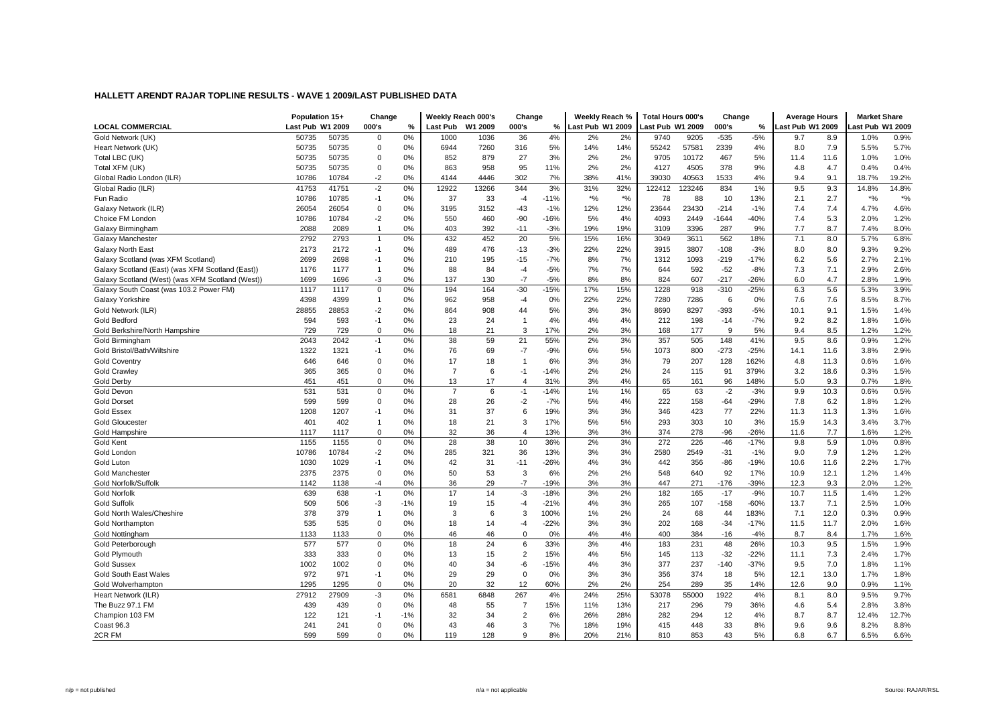|                                                  | Population 15+   |       | Change         |       | Weekly Reach 000's |         | Change         |        | Weekly Reach %   |       | <b>Total Hours 000's</b> |       | Change       |        | <b>Average Hours</b> |      | <b>Market Share</b> |       |
|--------------------------------------------------|------------------|-------|----------------|-------|--------------------|---------|----------------|--------|------------------|-------|--------------------------|-------|--------------|--------|----------------------|------|---------------------|-------|
| <b>LOCAL COMMERCIAL</b>                          | Last Pub W1 2009 |       | 000's          | %     | <b>Last Pub</b>    | W1 2009 | 000's          | %      | Last Pub W1 2009 |       | Last Pub W1 2009         |       | 000's        | $\%$   | Last Pub W1 2009     |      | ast Pub W1 2009     |       |
| Gold Network (UK)                                | 50735            | 50735 | $\mathbf 0$    | 0%    | 1000               | 1036    | 36             | 4%     | 2%               | 2%    | 9740                     | 9205  | $-535$       | $-5%$  | 9.7                  | 8.9  | 1.0%                | 0.9%  |
| Heart Network (UK)                               | 50735            | 50735 | $\mathbf 0$    | 0%    | 6944               | 7260    | 316            | 5%     | 14%              | 14%   | 55242                    | 57581 | 2339         | 4%     | 8.0                  | 7.9  | 5.5%                | 5.7%  |
| Total LBC (UK)                                   | 50735            | 50735 | $\mathbf 0$    | 0%    | 852                | 879     | 27             | 3%     | 2%               | 2%    | 9705                     | 10172 | 467          | 5%     | 11.4                 | 11.6 | 1.0%                | 1.0%  |
| Total XFM (UK)                                   | 50735            | 50735 | $\mathbf 0$    | 0%    | 863                | 958     | 95             | 11%    | 2%               | 2%    | 4127                     | 4505  | 378          | 9%     | 4.8                  | 4.7  | 0.4%                | 0.4%  |
| Global Radio London (ILR)                        | 10786            | 10784 | $-2$           | 0%    | 4144               | 4446    | 302            | 7%     | 38%              | 41%   | 39030                    | 40563 | 1533         | 4%     | 9.4                  | 9.1  | 18.7%               | 19.2% |
| Global Radio (ILR)                               | 41753            | 41751 | $-2$           | 0%    | 12922              | 13266   | 344            | 3%     | 31%              | 32%   | 122412                   | 23246 | 834          | 1%     | 9.5                  | 9.3  | 14.8%               | 14.8% |
| Fun Radio                                        | 10786            | 10785 | $-1$           | 0%    | 37                 | 33      | $-4$           | $-11%$ | $*$ %            | $*$ % | 78                       | 88    | 10           | 13%    | 2.1                  | 2.7  | $*$ %               | $*$ % |
| Galaxy Network (ILR)                             | 26054            | 26054 | $\mathbf 0$    | 0%    | 3195               | 3152    | $-43$          | $-1%$  | 12%              | 12%   | 23644                    | 23430 | $-214$       | $-1%$  | 7.4                  | 7.4  | 4.7%                | 4.6%  |
| Choice FM London                                 | 10786            | 10784 | $-2$           | 0%    | 550                | 460     | $-90$          | $-16%$ | 5%               | 4%    | 4093                     | 2449  | $-1644$      | -40%   | 7.4                  | 5.3  | 2.0%                | 1.2%  |
| Galaxy Birmingham                                | 2088             | 2089  | $\overline{1}$ | 0%    | 403                | 392     | $-11$          | $-3%$  | 19%              | 19%   | 3109                     | 3396  | 287          | 9%     | 7.7                  | 8.7  | 7.4%                | 8.0%  |
| Galaxy Manchester                                | 2792             | 2793  | $\overline{1}$ | 0%    | 432                | 452     | 20             | 5%     | 15%              | 16%   | 3049                     | 3611  | 562          | 18%    | 7.1                  | 8.0  | 5.7%                | 6.8%  |
| <b>Galaxy North East</b>                         | 2173             | 2172  | $-1$           | 0%    | 489                | 476     | $-13$          | $-3%$  | 22%              | 22%   | 3915                     | 3807  | $-108$       | $-3%$  | 8.0                  | 8.0  | 9.3%                | 9.2%  |
| Galaxy Scotland (was XFM Scotland)               | 2699             | 2698  | $-1$           | 0%    | 210                | 195     | $-15$          | $-7%$  | 8%               | 7%    | 1312                     | 1093  | $-219$       | $-17%$ | 6.2                  | 5.6  | 2.7%                | 2.1%  |
| Galaxy Scotland (East) (was XFM Scotland (East)) | 1176             | 1177  | $\overline{1}$ | 0%    | 88                 | 84      | $-4$           | $-5%$  | 7%               | 7%    | 644                      | 592   | $-52$        | $-8%$  | 7.3                  | 7.1  | 2.9%                | 2.6%  |
| Galaxy Scotland (West) (was XFM Scotland (West)) | 1699             | 1696  | -3             | 0%    | 137                | 130     | $-7$           | $-5%$  | 8%               | 8%    | 824                      | 607   | $-217$       | $-26%$ | 6.0                  | 4.7  | 2.8%                | 1.9%  |
| Galaxy South Coast (was 103.2 Power FM)          | 1117             | 1117  | $\mathbf 0$    | 0%    | 194                | 164     | $-30$          | $-15%$ | 17%              | 15%   | 1228                     | 918   | $-310$       | $-25%$ | 6.3                  | 5.6  | 5.3%                | 3.9%  |
| Galaxy Yorkshire                                 | 4398             | 4399  | $\overline{1}$ | 0%    | 962                | 958     | $-4$           | 0%     | 22%              | 22%   | 7280                     | 7286  | 6            | 0%     | 7.6                  | 7.6  | 8.5%                | 8.7%  |
| Gold Network (ILR)                               | 28855            | 28853 | $-2$           | 0%    | 864                | 908     | 44             | 5%     | 3%               | 3%    | 8690                     | 8297  | $-393$       | $-5%$  | 10.1                 | 9.1  | 1.5%                | 1.4%  |
| <b>Gold Bedford</b>                              | 594              | 593   | $-1$           | 0%    | 23                 | 24      | $\overline{1}$ | 4%     | 4%               | 4%    | 212                      | 198   | $-14$        | $-7%$  | 9.2                  | 8.2  | 1.8%                | 1.6%  |
| Gold Berkshire/North Hampshire                   | 729              | 729   | $\mathbf 0$    | 0%    | 18                 | 21      | 3              | 17%    | 2%               | 3%    | 168                      | 177   | $\mathbf{Q}$ | 5%     | 9.4                  | 8.5  | 1.2%                | 1.2%  |
| Gold Birmingham                                  | 2043             | 2042  | $-1$           | 0%    | 38                 | 59      | 21             | 55%    | 2%               | 3%    | 357                      | 505   | 148          | 41%    | 9.5                  | 8.6  | 0.9%                | 1.2%  |
| Gold Bristol/Bath/Wiltshire                      | 1322             | 1321  | $-1$           | 0%    | 76                 | 69      | $-7$           | $-9%$  | 6%               | 5%    | 1073                     | 800   | $-273$       | $-25%$ | 14.1                 | 11.6 | 3.8%                | 2.9%  |
| <b>Gold Coventry</b>                             | 646              | 646   | $\mathbf 0$    | 0%    | 17                 | 18      | $\overline{1}$ | 6%     | 3%               | 3%    | 79                       | 207   | 128          | 162%   | 4.8                  | 11.3 | 0.6%                | 1.6%  |
| <b>Gold Crawley</b>                              | 365              | 365   | $\mathbf 0$    | 0%    | $\overline{7}$     | 6       | $-1$           | $-14%$ | 2%               | 2%    | 24                       | 115   | 91           | 379%   | 3.2                  | 18.6 | 0.3%                | 1.5%  |
| <b>Gold Derby</b>                                | 451              | 451   | $\mathbf 0$    | 0%    | 13                 | 17      | $\overline{4}$ | 31%    | 3%               | 4%    | 65                       | 161   | 96           | 148%   | 5.0                  | 9.3  | 0.7%                | 1.8%  |
| Gold Devon                                       | 531              | 531   | $\mathbf 0$    | 0%    | $\overline{7}$     | 6       | $-1$           | $-14%$ | 1%               | 1%    | 65                       | 63    | $-2$         | $-3%$  | 9.9                  | 10.3 | 0.6%                | 0.5%  |
| <b>Gold Dorset</b>                               | 599              | 599   | $\mathbf 0$    | 0%    | 28                 | 26      | $-2$           | $-7%$  | 5%               | 4%    | 222                      | 158   | $-64$        | $-29%$ | 7.8                  | 6.2  | 1.8%                | 1.2%  |
| <b>Gold Essex</b>                                | 1208             | 1207  | $-1$           | 0%    | 31                 | 37      | 6              | 19%    | 3%               | 3%    | 346                      | 423   | 77           | 22%    | 11.3                 | 11.3 | 1.3%                | 1.6%  |
| <b>Gold Gloucester</b>                           | 401              | 402   | $\overline{1}$ | 0%    | 18                 | 21      | 3              | 17%    | 5%               | 5%    | 293                      | 303   | 10           | 3%     | 15.9                 | 14.3 | 3.4%                | 3.7%  |
| Gold Hampshire                                   | 1117             | 1117  | $\mathbf 0$    | 0%    | 32                 | 36      | $\overline{4}$ | 13%    | 3%               | 3%    | 374                      | 278   | -96          | $-26%$ | 11.6                 | 7.7  | 1.6%                | 1.2%  |
| Gold Kent                                        | 1155             | 1155  | $\mathbf 0$    | 0%    | 28                 | 38      | 10             | 36%    | 2%               | 3%    | 272                      | 226   | $-46$        | $-17%$ | 9.8                  | 5.9  | 1.0%                | 0.8%  |
| Gold London                                      | 10786            | 10784 | $-2$           | 0%    | 285                | 321     | 36             | 13%    | 3%               | 3%    | 2580                     | 2549  | $-31$        | $-1%$  | 9.0                  | 7.9  | 1.2%                | 1.2%  |
| Gold Lutor                                       | 1030             | 1029  | $-1$           | 0%    | 42                 | 31      | $-11$          | $-26%$ | 4%               | 3%    | 442                      | 356   | -86          | $-19%$ | 10.6                 | 11.6 | 2.2%                | 1.7%  |
| <b>Gold Manchester</b>                           | 2375             | 2375  | $\mathbf 0$    | 0%    | 50                 | 53      | 3              | 6%     | 2%               | 2%    | 548                      | 640   | 92           | 17%    | 10.9                 | 12.1 | 1.2%                | 1.4%  |
| Gold Norfolk/Suffolk                             | 1142             | 1138  | -4             | 0%    | 36                 | 29      | $-7$           | $-19%$ | 3%               | 3%    | 447                      | 271   | $-176$       | -39%   | 12.3                 | 9.3  | 2.0%                | 1.2%  |
| <b>Gold Norfolk</b>                              | 639              | 638   | $-1$           | 0%    | 17                 | 14      | $-3$           | $-18%$ | 3%               | 2%    | 182                      | 165   | $-17$        | $-9%$  | 10.7                 | 11.5 | 1.4%                | 1.2%  |
| <b>Gold Suffolk</b>                              | 509              | 506   | -3             | $-1%$ | 19                 | 15      | $-4$           | $-21%$ | 4%               | 3%    | 265                      | 107   | $-158$       | $-60%$ | 13.7                 | 7.1  | 2.5%                | 1.0%  |
| Gold North Wales/Cheshire                        | 378              | 379   | $\overline{1}$ | 0%    | 3                  | 6       | 3              | 100%   | 1%               | 2%    | 24                       | 68    | 44           | 183%   | 7.1                  | 12.0 | 0.3%                | 0.9%  |
| <b>Gold Northampton</b>                          | 535              | 535   | $\pmb{0}$      | 0%    | 18                 | 14      | -4             | $-22%$ | 3%               | 3%    | 202                      | 168   | $-34$        | $-17%$ | 11.5                 | 11.7 | 2.0%                | 1.6%  |
| Gold Nottingham                                  | 1133             | 1133  | $\mathbf 0$    | 0%    | 46                 | 46      | $\mathbf 0$    | 0%     | 4%               | 4%    | 400                      | 384   | $-16$        | $-4%$  | 8.7                  | 8.4  | 1.7%                | 1.6%  |
| Gold Peterborough                                | 577              | 577   | $\mathbf 0$    | 0%    | 18                 | 24      | 6              | 33%    | 3%               | 4%    | 183                      | 231   | 48           | 26%    | 10.3                 | 9.5  | 1.5%                | 1.9%  |
| Gold Plymouth                                    | 333              | 333   | $\mathbf 0$    | 0%    | 13                 | 15      | $\overline{2}$ | 15%    | 4%               | 5%    | 145                      | 113   | $-32$        | $-22%$ | 11.1                 | 7.3  | 2.4%                | 1.7%  |
| <b>Gold Sussex</b>                               | 1002             | 1002  | $\mathbf 0$    | 0%    | 40                 | 34      | $-6$           | $-15%$ | 4%               | 3%    | 377                      | 237   | $-140$       | $-37%$ | 9.5                  | 7.0  | 1.8%                | 1.1%  |
| Gold South East Wales                            | 972              | 971   | $-1$           | 0%    | 29                 | 29      | $\mathbf 0$    | 0%     | 3%               | 3%    | 356                      | 374   | 18           | 5%     | 12.1                 | 13.0 | 1.7%                | 1.8%  |
| Gold Wolverhamptor                               | 1295             | 1295  | $\pmb{0}$      | 0%    | 20                 | 32      | 12             | 60%    | 2%               | 2%    | 254                      | 289   | 35           | 14%    | 12.6                 | 9.0  | 0.9%                | 1.1%  |
| <b>Heart Network (ILR)</b>                       | 27912            | 27909 | $-3$           | 0%    | 6581               | 6848    | 267            | 4%     | 24%              | 25%   | 53078                    | 55000 | 1922         | 4%     | 8.1                  | 8.0  | 9.5%                | 9.7%  |
| The Buzz 97.1 FM                                 | 439              | 439   | $\mathbf 0$    | 0%    | 48                 | 55      | $\overline{7}$ | 15%    | 11%              | 13%   | 217                      | 296   | 79           | 36%    | 4.6                  | 5.4  | 2.8%                | 3.8%  |
| Champion 103 FM                                  | 122              | 121   | $-1$           | $-1%$ | 32                 | 34      | $\overline{2}$ | 6%     | 26%              | 28%   | 282                      | 294   | 12           | 4%     | 8.7                  | 8.7  | 12.4%               | 12.7% |
| Coast 96.3                                       | 241              | 241   | $\mathbf 0$    | 0%    | 43                 | 46      | 3              | 7%     | 18%              | 19%   | 415                      | 448   | 33           | 8%     | 9.6                  | 9.6  | 8.2%                | 8.8%  |
| 2CR FM                                           | 599              | 599   | $\mathbf 0$    | 0%    | 119                | 128     | 9              | 8%     | 20%              | 21%   | 810                      | 853   | 43           | 5%     | 6.8                  | 6.7  | 6.5%                | 6.6%  |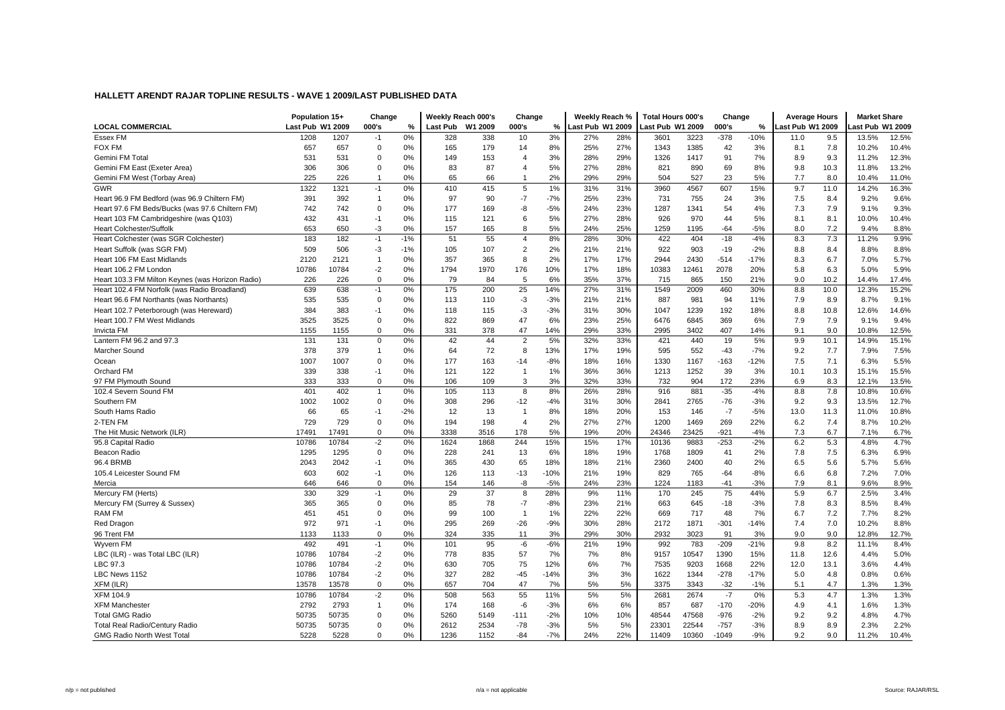|                                                  | Population 15+   |       | Change       |       |                 | Weekly Reach 000's | Change                |        | Weekly Reach %   |     | <b>Total Hours 000's</b> |       | Change  |        | <b>Average Hours</b> |      | <b>Market Share</b> |       |
|--------------------------------------------------|------------------|-------|--------------|-------|-----------------|--------------------|-----------------------|--------|------------------|-----|--------------------------|-------|---------|--------|----------------------|------|---------------------|-------|
| <b>LOCAL COMMERCIAL</b>                          | Last Pub W1 2009 |       | 000's        | %     | <b>Last Pub</b> | W1 2009            | 000's                 | %      | Last Pub W1 2009 |     | <b>Last Pub W1 2009</b>  |       | 000's   | %      | Last Pub W1 2009     |      | ast Pub W1 2009     |       |
| Essex FM                                         | 1208             | 1207  | $-1$         | 0%    | 328             | 338                | 10                    | 3%     | 27%              | 28% | 3601                     | 3223  | $-378$  | $-10%$ | 11.0                 | 9.5  | 13.5%               | 12.5% |
| FOX FM                                           | 657              | 657   | $\mathbf 0$  | 0%    | 165             | 179                | 14                    | 8%     | 25%              | 27% | 1343                     | 1385  | 42      | 3%     | 8.1                  | 7.8  | 10.2%               | 10.4% |
| Gemini FM Total                                  | 531              | 531   | $\circ$      | 0%    | 149             | 153                | $\overline{4}$        | 3%     | 28%              | 29% | 1326                     | 1417  | 91      | 7%     | 8.9                  | 9.3  | 11.2%               | 12.3% |
| Gemini FM East (Exeter Area)                     | 306              | 306   | $\mathbf 0$  | 0%    | 83              | 87                 | $\boldsymbol{\Delta}$ | 5%     | 27%              | 28% | 821                      | 890   | 69      | 8%     | 9.8                  | 10.3 | 11.8%               | 13.2% |
| Gemini FM West (Torbay Area)                     | 225              | 226   | $\mathbf{1}$ | 0%    | 65              | 66                 | -1                    | 2%     | 29%              | 29% | 504                      | 527   | 23      | 5%     | 7.7                  | 8.0  | 10.4%               | 11.0% |
| GWR                                              | 1322             | 1321  | $-1$         | 0%    | 410             | 415                | 5                     | 1%     | 31%              | 31% | 3960                     | 4567  | 607     | 15%    | 9.7                  | 11.0 | 14.2%               | 16.3% |
| Heart 96.9 FM Bedford (was 96.9 Chiltern FM)     | 391              | 392   | $\mathbf{1}$ | 0%    | 97              | 90                 | $-7$                  | $-7%$  | 25%              | 23% | 731                      | 755   | 24      | 3%     | 7.5                  | 8.4  | 9.2%                | 9.6%  |
| Heart 97.6 FM Beds/Bucks (was 97.6 Chiltern FM)  | 742              | 742   | $\mathbf 0$  | 0%    | 177             | 169                | -8                    | $-5%$  | 24%              | 23% | 1287                     | 1341  | 54      | 4%     | 7.3                  | 7.9  | 9.1%                | 9.3%  |
| Heart 103 FM Cambridgeshire (was Q103)           | 432              | 431   | $-1$         | 0%    | 115             | 121                | 6                     | 5%     | 27%              | 28% | 926                      | 970   | 44      | 5%     | 8.1                  | 8.1  | 10.0%               | 10.4% |
| Heart Colchester/Suffolk                         | 653              | 650   | $-3$         | 0%    | 157             | 165                | 8                     | 5%     | 24%              | 25% | 1259                     | 1195  | $-64$   | $-5%$  | 8.0                  | 7.2  | 9.4%                | 8.8%  |
| Heart Colchester (was SGR Colchester)            | 183              | 182   | $-1$         | $-1%$ | 51              | 55                 | $\overline{4}$        | 8%     | 28%              | 30% | 422                      | 404   | $-18$   | $-4%$  | 8.3                  | 7.3  | 11.2%               | 9.9%  |
| Heart Suffolk (was SGR FM)                       | 509              | 506   | $-3$         | $-1%$ | 105             | 107                | $\overline{2}$        | 2%     | 21%              | 21% | 922                      | 903   | $-19$   | $-2%$  | 8.8                  | 8.4  | 8.8%                | 8.8%  |
| Heart 106 FM East Midlands                       | 2120             | 2121  | $\mathbf{1}$ | 0%    | 357             | 365                | 8                     | 2%     | 17%              | 17% | 2944                     | 2430  | $-514$  | $-17%$ | 8.3                  | 6.7  | 7.0%                | 5.7%  |
| Heart 106.2 FM London                            | 10786            | 10784 | $-2$         | 0%    | 1794            | 1970               | 176                   | 10%    | 17%              | 18% | 10383                    | 12461 | 2078    | 20%    | 5.8                  | 6.3  | 5.0%                | 5.9%  |
| Heart 103.3 FM Milton Keynes (was Horizon Radio) | 226              | 226   | $\mathbf 0$  | 0%    | 79              | 84                 | 5                     | 6%     | 35%              | 37% | 715                      | 865   | 150     | 21%    | 9.0                  | 10.2 | 14.4%               | 17.4% |
| Heart 102.4 FM Norfolk (was Radio Broadland)     | 639              | 638   | $-1$         | 0%    | 175             | 200                | 25                    | 14%    | 27%              | 31% | 1549                     | 2009  | 460     | 30%    | 8.8                  | 10.0 | 12.3%               | 15.2% |
| Heart 96.6 FM Northants (was Northants)          | 535              | 535   | $\mathbf 0$  | 0%    | 113             | 110                | $-3$                  | $-3%$  | 21%              | 21% | 887                      | 981   | 94      | 11%    | 7.9                  | 8.9  | 8.7%                | 9.1%  |
| Heart 102.7 Peterborough (was Hereward)          | 384              | 383   | $-1$         | 0%    | 118             | 115                | $-3$                  | $-3%$  | 31%              | 30% | 1047                     | 1239  | 192     | 18%    | 8.8                  | 10.8 | 12.6%               | 14.6% |
| Heart 100.7 FM West Midlands                     | 3525             | 3525  | $\mathbf 0$  | 0%    | 822             | 869                | 47                    | 6%     | 23%              | 25% | 6476                     | 6845  | 369     | 6%     | 7.9                  | 7.9  | 9.1%                | 9.4%  |
| Invicta FM                                       | 1155             | 1155  | $\mathbf 0$  | 0%    | 331             | 378                | 47                    | 14%    | 29%              | 33% | 2995                     | 3402  | 407     | 14%    | 9.1                  | 9.0  | 10.8%               | 12.5% |
| Lantern FM 96.2 and 97.3                         | 131              | 131   | $\mathbf 0$  | 0%    | 42              | 44                 | $\overline{2}$        | 5%     | 32%              | 33% | 421                      | 440   | 19      | 5%     | 9.9                  | 10.1 | 14.9%               | 15.1% |
| Marcher Sound                                    | 378              | 379   | $\mathbf{1}$ | 0%    | 64              | 72                 | 8                     | 13%    | 17%              | 19% | 595                      | 552   | $-43$   | $-7%$  | 9.2                  | 7.7  | 7.9%                | 7.5%  |
| Ocean                                            | 1007             | 1007  | $\mathbf 0$  | 0%    | 177             | 163                | $-14$                 | $-8%$  | 18%              | 16% | 1330                     | 1167  | $-163$  | $-12%$ | 7.5                  | 7.1  | 6.3%                | 5.5%  |
| Orchard FM                                       | 339              | 338   | $-1$         | 0%    | 121             | 122                | $\mathbf{1}$          | 1%     | 36%              | 36% | 1213                     | 1252  | 39      | 3%     | 10.1                 | 10.3 | 15.1%               | 15.5% |
| 97 FM Plymouth Sound                             | 333              | 333   | $\mathbf 0$  | 0%    | 106             | 109                | 3                     | 3%     | 32%              | 33% | 732                      | 904   | 172     | 23%    | 6.9                  | 8.3  | 12.1%               | 13.5% |
| 102.4 Severn Sound FM                            | 401              | 402   | $\mathbf{1}$ | 0%    | 105             | 113                | 8                     | 8%     | 26%              | 28% | 916                      | 881   | $-35$   | $-4%$  | 8.8                  | 7.8  | 10.8%               | 10.6% |
| Southern FM                                      | 1002             | 1002  | $\mathbf 0$  | 0%    | 308             | 296                | $-12$                 | $-4%$  | 31%              | 30% | 2841                     | 2765  | $-76$   | $-3%$  | 9.2                  | 9.3  | 13.5%               | 12.7% |
| South Hams Radio                                 | 66               | 65    | $-1$         | $-2%$ | 12              | 13                 | $\overline{1}$        | 8%     | 18%              | 20% | 153                      | 146   | $-7$    | $-5%$  | 13.0                 | 11.3 | 11.0%               | 10.8% |
| 2-TEN FM                                         | 729              | 729   | $\mathbf 0$  | 0%    | 194             | 198                | $\overline{4}$        | 2%     | 27%              | 27% | 1200                     | 1469  | 269     | 22%    | 6.2                  | 7.4  | 8.7%                | 10.2% |
| The Hit Music Network (ILR)                      | 17491            | 17491 | $\mathbf 0$  | 0%    | 3338            | 3516               | 178                   | 5%     | 19%              | 20% | 24346                    | 23425 | $-921$  | $-4%$  | 7.3                  | 6.7  | 7.1%                | 6.7%  |
| 95.8 Capital Radio                               | 10786            | 10784 | $-2$         | 0%    | 1624            | 1868               | 244                   | 15%    | 15%              | 17% | 10136                    | 9883  | $-253$  | $-2%$  | 6.2                  | 5.3  | 4.8%                | 4.7%  |
| Beacon Radio                                     | 1295             | 1295  | $\mathbf 0$  | 0%    | 228             | 241                | 13                    | 6%     | 18%              | 19% | 1768                     | 1809  | 41      | 2%     | 7.8                  | 7.5  | 6.3%                | 6.9%  |
| 96.4 BRMB                                        | 2043             | 2042  | $-1$         | 0%    | 365             | 430                | 65                    | 18%    | 18%              | 21% | 2360                     | 2400  | 40      | 2%     | 6.5                  | 5.6  | 5.7%                | 5.6%  |
| 105.4 Leicester Sound FM                         | 603              | 602   | $-1$         | 0%    | 126             | 113                | $-13$                 | $-10%$ | 21%              | 19% | 829                      | 765   | $-64$   | $-8%$  | 6.6                  | 6.8  | 7.2%                | 7.0%  |
| Mercia                                           | 646              | 646   | $\mathbf 0$  | 0%    | 154             | 146                | -8                    | $-5%$  | 24%              | 23% | 1224                     | 1183  | $-41$   | $-3%$  | 7.9                  | 8.1  | 9.6%                | 8.9%  |
| Mercury FM (Herts)                               | 330              | 329   | $-1$         | 0%    | 29              | 37                 | 8                     | 28%    | 9%               | 11% | 170                      | 245   | 75      | 44%    | 5.9                  | 6.7  | 2.5%                | 3.4%  |
| Mercury FM (Surrey & Sussex)                     | 365              | 365   | $\mathbf 0$  | 0%    | 85              | 78                 | $-7$                  | $-8%$  | 23%              | 21% | 663                      | 645   | $-18$   | $-3%$  | 7.8                  | 8.3  | 8.5%                | 8.4%  |
| <b>RAM FM</b>                                    | 451              | 451   | $\pmb{0}$    | 0%    | 99              | 100                | $\overline{1}$        | 1%     | 22%              | 22% | 669                      | 717   | 48      | 7%     | 6.7                  | 7.2  | 7.7%                | 8.2%  |
| Red Dragon                                       | 972              | 971   | $-1$         | 0%    | 295             | 269                | $-26$                 | $-9%$  | 30%              | 28% | 2172                     | 1871  | $-301$  | $-14%$ | 7.4                  | 7.0  | 10.2%               | 8.8%  |
| 96 Trent FM                                      | 1133             | 1133  | $\mathbf 0$  | 0%    | 324             | 335                | 11                    | 3%     | 29%              | 30% | 2932                     | 3023  | 91      | 3%     | 9.0                  | 9.0  | 12.8%               | 12.7% |
| Wyvern FM                                        | 492              | 491   | $-1$         | 0%    | 101             | 95                 | $-6$                  | $-6%$  | 21%              | 19% | 992                      | 783   | $-209$  | $-21%$ | 9.8                  | 8.2  | 11.1%               | 8.4%  |
| LBC (ILR) - was Total LBC (ILR)                  | 10786            | 10784 | $-2$         | 0%    | 778             | 835                | 57                    | 7%     | 7%               | 8%  | 9157                     | 10547 | 1390    | 15%    | 11.8                 | 12.6 | 4.4%                | 5.0%  |
| LBC 97.3                                         | 10786            | 10784 | $-2$         | 0%    | 630             | 705                | 75                    | 12%    | 6%               | 7%  | 7535                     | 9203  | 1668    | 22%    | 12.0                 | 13.1 | 3.6%                | 4.4%  |
| LBC News 1152                                    | 10786            | 10784 | $-2$         | 0%    | 327             | 282                | $-45$                 | $-14%$ | 3%               | 3%  | 1622                     | 1344  | $-278$  | $-17%$ | 5.0                  | 4.8  | 0.8%                | 0.6%  |
| XFM (ILR)                                        | 13578            | 13578 | $\mathbf 0$  | 0%    | 657             | 704                | 47                    | 7%     | 5%               | 5%  | 3375                     | 3343  | $-32$   | $-1%$  | 5.1                  | 4.7  | 1.3%                | 1.3%  |
| XFM 104.9                                        | 10786            | 10784 | $-2$         | 0%    | 508             | 563                | 55                    | 11%    | 5%               | 5%  | 2681                     | 2674  | $-7$    | 0%     | 5.3                  | 4.7  | 1.3%                | 1.3%  |
| <b>XFM Manchester</b>                            | 2792             | 2793  | $\mathbf{1}$ | 0%    | 174             | 168                | -6                    | $-3%$  | 6%               | 6%  | 857                      | 687   | $-170$  | $-20%$ | 4.9                  | 4.1  | 1.6%                | 1.3%  |
| <b>Total GMG Radio</b>                           | 50735            | 50735 | $\mathbf 0$  | 0%    | 5260            | 5149               | $-111$                | $-2%$  | 10%              | 10% | 48544                    | 47568 | $-976$  | $-2%$  | 9.2                  | 9.2  | 4.8%                | 4.7%  |
| Total Real Radio/Century Radio                   | 50735            | 50735 | $\mathbf 0$  | 0%    | 2612            | 2534               | $-78$                 | $-3%$  | 5%               | 5%  | 23301                    | 22544 | $-757$  | $-3%$  | 8.9                  | 8.9  | 2.3%                | 2.2%  |
| GMG Radio North West Total                       | 5228             | 5228  | $\mathbf 0$  | 0%    | 1236            | 1152               | $-84$                 | $-7%$  | 24%              | 22% | 11409                    | 10360 | $-1049$ | $-9%$  | 9.2                  | 9.0  | 11.2%               | 10.4% |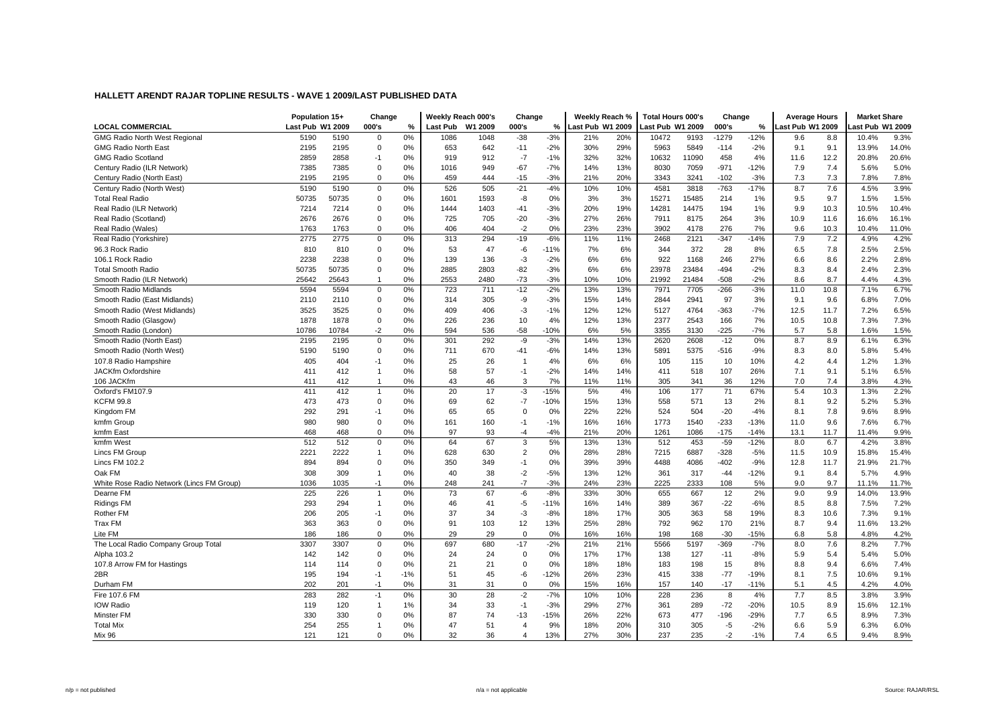|                                           | Population 15+   |       | Change       |       |          | Weekly Reach 000's | Change                |        | Weekly Reach %   |     | <b>Total Hours 000's</b> |       | Change  |        | <b>Average Hours</b> |      | <b>Market Share</b> |       |
|-------------------------------------------|------------------|-------|--------------|-------|----------|--------------------|-----------------------|--------|------------------|-----|--------------------------|-------|---------|--------|----------------------|------|---------------------|-------|
| <b>LOCAL COMMERCIAL</b>                   | Last Pub W1 2009 |       | 000's        | %     | Last Pub | W1 2009            | 000's                 | %      | Last Pub W1 2009 |     | <b>Last Pub W1 2009</b>  |       | 000's   | %      | Last Pub W1 2009     |      | ast Pub W1 2009     |       |
| <b>GMG Radio North West Regional</b>      | 5190             | 5190  | $\mathbf 0$  | 0%    | 1086     | 1048               | $-38$                 | $-3%$  | 21%              | 20% | 10472                    | 9193  | $-1279$ | $-12%$ | 9.6                  | 8.8  | 10.4%               | 9.3%  |
| GMG Radio North East                      | 2195             | 2195  | $\pmb{0}$    | 0%    | 653      | 642                | $-11$                 | $-2%$  | 30%              | 29% | 5963                     | 5849  | $-114$  | $-2%$  | 9.1                  | 9.1  | 13.9%               | 14.0% |
| <b>GMG Radio Scotland</b>                 | 2859             | 2858  | $-1$         | 0%    | 919      | 912                | $-7$                  | $-1%$  | 32%              | 32% | 10632                    | 11090 | 458     | 4%     | 11.6                 | 12.2 | 20.8%               | 20.6% |
| Century Radio (ILR Network)               | 7385             | 7385  | $\mathbf 0$  | 0%    | 1016     | 949                | $-67$                 | $-7%$  | 14%              | 13% | 8030                     | 7059  | $-971$  | $-12%$ | 7.9                  | 7.4  | 5.6%                | 5.0%  |
| Century Radio (North East)                | 2195             | 2195  | $\mathbf 0$  | 0%    | 459      | 444                | $-15$                 | $-3%$  | 21%              | 20% | 3343                     | 3241  | $-102$  | $-3%$  | 7.3                  | 7.3  | 7.8%                | 7.8%  |
| Century Radio (North West)                | 5190             | 5190  | $\mathbf 0$  | 0%    | 526      | 505                | $-21$                 | $-4%$  | 10%              | 10% | 4581                     | 3818  | $-763$  | $-17%$ | 8.7                  | 7.6  | 4.5%                | 3.9%  |
| <b>Total Real Radio</b>                   | 50735            | 50735 | $\mathbf 0$  | 0%    | 1601     | 1593               | $-8$                  | 0%     | 3%               | 3%  | 15271                    | 15485 | 214     | 1%     | 9.5                  | 9.7  | 1.5%                | 1.5%  |
| Real Radio (ILR Network)                  | 7214             | 7214  | $\mathbf 0$  | 0%    | 1444     | 1403               | $-41$                 | $-3%$  | 20%              | 19% | 14281                    | 14475 | 194     | 1%     | 9.9                  | 10.3 | 10.5%               | 10.4% |
| Real Radio (Scotland)                     | 2676             | 2676  | $\pmb{0}$    | 0%    | 725      | 705                | $-20$                 | $-3%$  | 27%              | 26% | 7911                     | 8175  | 264     | 3%     | 10.9                 | 11.6 | 16.6%               | 16.1% |
| Real Radio (Wales)                        | 1763             | 1763  | $\mathbf 0$  | 0%    | 406      | 404                | $-2$                  | 0%     | 23%              | 23% | 3902                     | 4178  | 276     | 7%     | 9.6                  | 10.3 | 10.4%               | 11.0% |
| Real Radio (Yorkshire)                    | 2775             | 2775  | $\mathbf 0$  | 0%    | 313      | 294                | $-19$                 | $-6%$  | 11%              | 11% | 2468                     | 2121  | $-347$  | $-14%$ | 7.9                  | 7.2  | 4.9%                | 4.2%  |
| 96.3 Rock Radio                           | 810              | 810   | $\mathbf 0$  | 0%    | 53       | 47                 | -6                    | $-11%$ | 7%               | 6%  | 344                      | 372   | 28      | 8%     | 6.5                  | 7.8  | 2.5%                | 2.5%  |
| 106.1 Rock Radio                          | 2238             | 2238  | $\mathbf 0$  | 0%    | 139      | 136                | $-3$                  | $-2%$  | 6%               | 6%  | 922                      | 1168  | 246     | 27%    | 6.6                  | 8.6  | 2.2%                | 2.8%  |
| <b>Total Smooth Radio</b>                 | 50735            | 50735 | $\mathbf 0$  | 0%    | 2885     | 2803               | $-82$                 | $-3%$  | 6%               | 6%  | 23978                    | 23484 | $-494$  | $-2%$  | 8.3                  | 8.4  | 2.4%                | 2.3%  |
| Smooth Radio (ILR Network)                | 25642            | 25643 | $\mathbf{1}$ | 0%    | 2553     | 2480               | $-73$                 | $-3%$  | 10%              | 10% | 21992                    | 21484 | $-508$  | $-2%$  | 8.6                  | 8.7  | 4.4%                | 4.3%  |
| Smooth Radio Midlands                     | 5594             | 5594  | $\mathbf 0$  | 0%    | 723      | 711                | $-12$                 | $-2%$  | 13%              | 13% | 7971                     | 7705  | $-266$  | $-3%$  | 11.0                 | 10.8 | 7.1%                | 6.7%  |
| Smooth Radio (East Midlands)              | 2110             | 2110  | $\mathbf 0$  | 0%    | 314      | 305                | -9                    | $-3%$  | 15%              | 14% | 2844                     | 2941  | 97      | 3%     | 9.1                  | 9.6  | 6.8%                | 7.0%  |
| Smooth Radio (West Midlands)              | 3525             | 3525  | $\mathbf 0$  | 0%    | 409      | 406                | $-3$                  | $-1%$  | 12%              | 12% | 5127                     | 4764  | $-363$  | $-7%$  | 12.5                 | 11.7 | 7.2%                | 6.5%  |
| Smooth Radio (Glasgow)                    | 1878             | 1878  | $\mathbf 0$  | 0%    | 226      | 236                | 10                    | 4%     | 12%              | 13% | 2377                     | 2543  | 166     | 7%     | 10.5                 | 10.8 | 7.3%                | 7.3%  |
| Smooth Radio (London)                     | 10786            | 10784 | $-2$         | 0%    | 594      | 536                | $-58$                 | $-10%$ | 6%               | 5%  | 3355                     | 3130  | $-225$  | $-7%$  | 5.7                  | 5.8  | 1.6%                | 1.5%  |
| Smooth Radio (North East)                 | 2195             | 2195  | $\mathbf 0$  | 0%    | 301      | 292                | -9                    | $-3%$  | 14%              | 13% | 2620                     | 2608  | $-12$   | 0%     | 8.7                  | 8.9  | 6.1%                | 6.3%  |
| Smooth Radio (North West)                 | 5190             | 5190  | $\mathbf 0$  | 0%    | 711      | 670                | $-41$                 | $-6%$  | 14%              | 13% | 5891                     | 5375  | $-516$  | $-9%$  | 8.3                  | 8.0  | 5.8%                | 5.4%  |
| 107.8 Radio Hampshire                     | 405              | 404   | $-1$         | 0%    | 25       | 26                 | $\overline{1}$        | 4%     | 6%               | 6%  | 105                      | 115   | 10      | 10%    | 4.2                  | 4.4  | 1.2%                | 1.3%  |
| <b>JACKfm Oxfordshire</b>                 | 411              | 412   | $\mathbf{1}$ | 0%    | 58       | 57                 | $-1$                  | $-2%$  | 14%              | 14% | 411                      | 518   | 107     | 26%    | 7.1                  | 9.1  | 5.1%                | 6.5%  |
| 106 JACKfm                                | 411              | 412   | $\mathbf{1}$ | 0%    | 43       | 46                 | 3                     | 7%     | 11%              | 11% | 305                      | 341   | 36      | 12%    | 7.0                  | 7.4  | 3.8%                | 4.3%  |
| Oxford's FM107.9                          | 411              | 412   | $\mathbf{1}$ | 0%    | 20       | 17                 | $-3$                  | $-15%$ | 5%               | 4%  | 106                      | 177   | 71      | 67%    | 5.4                  | 10.3 | 1.3%                | 2.2%  |
| <b>KCFM 99.8</b>                          | 473              | 473   | $\mathbf 0$  | 0%    | 69       | 62                 | $-7$                  | $-10%$ | 15%              | 13% | 558                      | 571   | 13      | 2%     | 8.1                  | 9.2  | 5.2%                | 5.3%  |
| Kingdom FM                                | 292              | 291   | $-1$         | 0%    | 65       | 65                 | $\Omega$              | 0%     | 22%              | 22% | 524                      | 504   | $-20$   | $-4%$  | 8.1                  | 7.8  | 9.6%                | 8.9%  |
| kmfm Group                                | 980              | 980   | $\mathbf 0$  | 0%    | 161      | 160                | $-1$                  | $-1%$  | 16%              | 16% | 1773                     | 1540  | $-233$  | $-13%$ | 11.0                 | 9.6  | 7.6%                | 6.7%  |
| kmfm East                                 | 468              | 468   | $\mathbf 0$  | 0%    | 97       | 93                 | $-4$                  | $-4%$  | 21%              | 20% | 1261                     | 1086  | $-175$  | $-14%$ | 13.1                 | 11.7 | 11.4%               | 9.9%  |
| kmfm West                                 | 512              | 512   | $\mathbf 0$  | 0%    | 64       | 67                 | 3                     | 5%     | 13%              | 13% | 512                      | 453   | $-59$   | $-12%$ | 8.0                  | 6.7  | 4.2%                | 3.8%  |
| Lincs FM Group                            | 2221             | 2222  | $\mathbf{1}$ | 0%    | 628      | 630                | $\overline{2}$        | 0%     | 28%              | 28% | 7215                     | 6887  | $-328$  | $-5%$  | 11.5                 | 10.9 | 15.8%               | 15.4% |
| <b>Lincs FM 102.2</b>                     | 894              | 894   | $\mathbf 0$  | 0%    | 350      | 349                | $-1$                  | 0%     | 39%              | 39% | 4488                     | 4086  | $-402$  | $-9%$  | 12.8                 | 11.7 | 21.9%               | 21.7% |
| Oak FM                                    | 308              | 309   | $\mathbf{1}$ | 0%    | 40       | 38                 | $-2$                  | $-5%$  | 13%              | 12% | 361                      | 317   | $-44$   | $-12%$ | 9.1                  | 8.4  | 5.7%                | 4.9%  |
| White Rose Radio Network (Lincs FM Group) | 1036             | 1035  | $-1$         | 0%    | 248      | 241                | $-7$                  | $-3%$  | 24%              | 23% | 2225                     | 2333  | 108     | 5%     | 9.0                  | 9.7  | 11.1%               | 11.7% |
| Dearne FM                                 | 225              | 226   | $\mathbf{1}$ | 0%    | 73       | 67                 | $-6$                  | $-8%$  | 33%              | 30% | 655                      | 667   | 12      | 2%     | 9.0                  | 9.9  | 14.0%               | 13.9% |
| <b>Ridings FM</b>                         | 293              | 294   | $\mathbf{1}$ | 0%    | 46       | 41                 | $-5$                  | $-11%$ | 16%              | 14% | 389                      | 367   | $-22$   | $-6%$  | 8.5                  | 8.8  | 7.5%                | 7.2%  |
| <b>Rother FM</b>                          | 206              | 205   | $-1$         | 0%    | 37       | 34                 | $-3$                  | $-8%$  | 18%              | 17% | 305                      | 363   | 58      | 19%    | 8.3                  | 10.6 | 7.3%                | 9.1%  |
| <b>Trax FM</b>                            | 363              | 363   | $\mathbf 0$  | 0%    | 91       | 103                | 12                    | 13%    | 25%              | 28% | 792                      | 962   | 170     | 21%    | 8.7                  | 9.4  | 11.6%               | 13.2% |
| Lite FM                                   | 186              | 186   | $\mathbf 0$  | 0%    | 29       | 29                 | $\mathbf 0$           | 0%     | 16%              | 16% | 198                      | 168   | $-30$   | $-15%$ | 6.8                  | 5.8  | 4.8%                | 4.2%  |
| The Local Radio Company Group Total       | 3307             | 3307  | $\mathbf 0$  | 0%    | 697      | 680                | $-17$                 | $-2%$  | 21%              | 21% | 5566                     | 5197  | $-369$  | $-7%$  | 8.0                  | 7.6  | 8.2%                | 7.7%  |
| Alpha 103.2                               | 142              | 142   | $\mathbf 0$  | 0%    | 24       | 24                 | $\mathbf 0$           | 0%     | 17%              | 17% | 138                      | 127   | $-11$   | $-8%$  | 5.9                  | 5.4  | 5.4%                | 5.0%  |
| 107.8 Arrow FM for Hastings               | 114              | 114   | $\mathbf 0$  | 0%    | 21       | 21                 | $\mathbf 0$           | 0%     | 18%              | 18% | 183                      | 198   | 15      | 8%     | 8.8                  | 9.4  | 6.6%                | 7.4%  |
| 2BR                                       | 195              | 194   | $-1$         | $-1%$ | 51       | 45                 | -6                    | $-12%$ | 26%              | 23% | 415                      | 338   | $-77$   | $-19%$ | 8.1                  | 7.5  | 10.6%               | 9.1%  |
| Durham FM                                 | 202              | 201   | $-1$         | 0%    | 31       | 31                 | $\mathbf 0$           | 0%     | 15%              | 16% | 157                      | 140   | $-17$   | $-11%$ | 5.1                  | 4.5  | 4.2%                | 4.0%  |
| Fire 107.6 FM                             | 283              | 282   | $-1$         | 0%    | 30       | 28                 | $-2$                  | $-7%$  | 10%              | 10% | 228                      | 236   | 8       | 4%     | 7.7                  | 8.5  | 3.8%                | 3.9%  |
| <b>IOW Radio</b>                          | 119              | 120   | $\mathbf{1}$ | 1%    | 34       | 33                 | $-1$                  | $-3%$  | 29%              | 27% | 361                      | 289   | $-72$   | $-20%$ | 10.5                 | 8.9  | 15.6%               | 12.1% |
| Minster FM                                | 330              | 330   | $\mathbf 0$  | 0%    | 87       | 74                 | $-13$                 | $-15%$ | 26%              | 22% | 673                      | 477   | $-196$  | $-29%$ | 7.7                  | 6.5  | 8.9%                | 7.3%  |
| <b>Total Mix</b>                          | 254              | 255   | $\mathbf{1}$ | 0%    | 47       | 51                 | $\boldsymbol{\Delta}$ | 9%     | 18%              | 20% | 310                      | 305   | $-5$    | $-2%$  | 6.6                  | 5.9  | 6.3%                | 6.0%  |
| Mix 96                                    | 121              | 121   | $\mathbf 0$  | 0%    | 32       | 36                 | $\overline{4}$        | 13%    | 27%              | 30% | 237                      | 235   | $-2$    | $-1%$  | 7.4                  | 6.5  | 9.4%                | 8.9%  |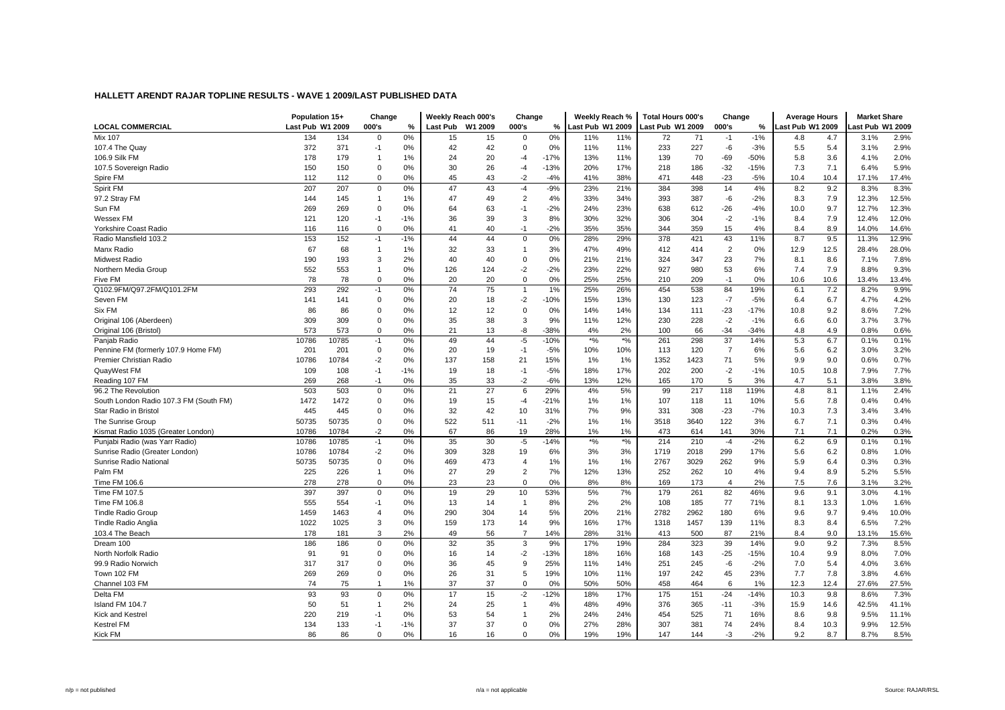|                                        | Population 15+   |       | Change         |       |          | Weekly Reach 000's | Change         |        | Weekly Reach %   |                  | <b>Total Hours 000's</b> |      | Change                  |        | <b>Average Hours</b> |      | <b>Market Share</b> |       |
|----------------------------------------|------------------|-------|----------------|-------|----------|--------------------|----------------|--------|------------------|------------------|--------------------------|------|-------------------------|--------|----------------------|------|---------------------|-------|
| <b>LOCAL COMMERCIAL</b>                | Last Pub W1 2009 |       | 000's          | %     | Last Pub | W1 2009            | 000's          | %      | Last Pub W1 2009 |                  | Last Pub W1 2009         |      | 000's                   | $\%$   | Last Pub W1 2009     |      | ast Pub W1 2009     |       |
| <b>Mix 107</b>                         | 134              | 134   | $\mathbf 0$    | 0%    | 15       | 15                 | 0              | 0%     | 11%              | 11%              | 72                       | 71   | $-1$                    | $-1%$  | 4.8                  | 4.7  | 3.1%                | 2.9%  |
| 107.4 The Quay                         | 372              | 371   | $-1$           | 0%    | 42       | 42                 | $\mathbf 0$    | 0%     | 11%              | 11%              | 233                      | 227  | -6                      | $-3%$  | 5.5                  | 5.4  | 3.1%                | 2.9%  |
| 106.9 Silk FM                          | 178              | 179   | $\overline{1}$ | 1%    | 24       | 20                 | -4             | $-17%$ | 13%              | 11%              | 139                      | 70   | -69                     | $-50%$ | 5.8                  | 3.6  | 4.1%                | 2.0%  |
| 107.5 Sovereign Radio                  | 150              | 150   | $\mathbf 0$    | 0%    | 30       | 26                 | $-4$           | $-13%$ | 20%              | 17%              | 218                      | 186  | $-32$                   | $-15%$ | 7.3                  | 7.1  | 6.4%                | 5.9%  |
| Spire FM                               | 112              | 112   | $\mathbf 0$    | 0%    | 45       | 43                 | $-2$           | $-4%$  | 41%              | 38%              | 471                      | 448  | $-23$                   | $-5%$  | 10.4                 | 10.4 | 17.1%               | 17.4% |
| Spirit FM                              | 207              | 207   | $\mathbf 0$    | 0%    | 47       | 43                 | $-4$           | $-9%$  | 23%              | 21%              | 384                      | 398  | 14                      | 4%     | 8.2                  | 9.2  | 8.3%                | 8.3%  |
| 97.2 Stray FM                          | 144              | 145   | $\overline{1}$ | 1%    | 47       | 49                 | $\overline{2}$ | 4%     | 33%              | 34%              | 393                      | 387  | $-6$                    | $-2%$  | 8.3                  | 7.9  | 12.3%               | 12.5% |
| Sun FM                                 | 269              | 269   | $\mathbf 0$    | 0%    | 64       | 63                 | $-1$           | $-2%$  | 24%              | 23%              | 638                      | 612  | $-26$                   | $-4%$  | 10.0                 | 9.7  | 12.7%               | 12.3% |
| Wessex FM                              | 121              | 120   | $-1$           | $-1%$ | 36       | 39                 | 3              | 8%     | 30%              | 32%              | 306                      | 304  | $-2$                    | $-1%$  | 8.4                  | 7.9  | 12.4%               | 12.0% |
| Yorkshire Coast Radio                  | 116              | 116   | $\mathbf 0$    | 0%    | 41       | 40                 | $-1$           | $-2%$  | 35%              | 35%              | 344                      | 359  | 15                      | 4%     | 8.4                  | 8.9  | 14.0%               | 14.6% |
| Radio Mansfield 103.2                  | 153              | 152   | $-1$           | $-1%$ | 44       | 44                 | $\mathbf 0$    | 0%     | 28%              | 29%              | 378                      | 421  | 43                      | 11%    | 8.7                  | 9.5  | 11.3%               | 12.9% |
| Manx Radio                             | 67               | 68    | $\overline{1}$ | 1%    | 32       | 33                 | $\overline{1}$ | 3%     | 47%              | 49%              | 412                      | 414  | $\overline{2}$          | 0%     | 12.9                 | 12.5 | 28.4%               | 28.0% |
| <b>Midwest Radio</b>                   | 190              | 193   | 3              | 2%    | 40       | 40                 | $\Omega$       | 0%     | 21%              | 21%              | 324                      | 347  | 23                      | 7%     | 8.1                  | 8.6  | 7.1%                | 7.8%  |
| Northern Media Group                   | 552              | 553   | $\overline{1}$ | 0%    | 126      | 124                | $-2$           | $-2%$  | 23%              | 22%              | 927                      | 980  | 53                      | 6%     | 7.4                  | 7.9  | 8.8%                | 9.3%  |
| Five FM                                | 78               | 78    | $\mathbf 0$    | 0%    | 20       | 20                 | $\mathbf 0$    | 0%     | 25%              | 25%              | 210                      | 209  | $-1$                    | 0%     | 10.6                 | 10.6 | 13.4%               | 13.4% |
| Q102.9FM/Q97.2FM/Q101.2FM              | 293              | 292   | $-1$           | 0%    | 74       | 75                 | $\overline{1}$ | 1%     | 25%              | 26%              | 454                      | 538  | 84                      | 19%    | 6.1                  | 7.2  | 8.2%                | 9.9%  |
| Seven FM                               | 141              | 141   | $\mathbf 0$    | 0%    | 20       | 18                 | $-2$           | $-10%$ | 15%              | 13%              | 130                      | 123  | $-7$                    | $-5%$  | 6.4                  | 6.7  | 4.7%                | 4.2%  |
| Six FM                                 | 86               | 86    | $\mathbf 0$    | 0%    | 12       | 12                 | $\mathbf 0$    | 0%     | 14%              | 14%              | 134                      | 111  | $-23$                   | $-17%$ | 10.8                 | 9.2  | 8.6%                | 7.2%  |
| Original 106 (Aberdeen)                | 309              | 309   | $\mathbf 0$    | 0%    | 35       | 38                 | 3              | 9%     | 11%              | 12%              | 230                      | 228  | $-2$                    | $-1%$  | 6.6                  | 6.0  | 3.7%                | 3.7%  |
| Original 106 (Bristol)                 | 573              | 573   | $\mathbf 0$    | 0%    | 21       | 13                 | -8             | $-38%$ | 4%               | 2%               | 100                      | 66   | $-34$                   | $-34%$ | 4.8                  | 4.9  | 0.8%                | 0.6%  |
| Panjab Radio                           | 10786            | 10785 | $-1$           | 0%    | 49       | 44                 | $-5$           | $-10%$ | $*9/6$           | $\star o\!/\!_0$ | 261                      | 298  | 37                      | 14%    | 5.3                  | 6.7  | 0.1%                | 0.1%  |
| Pennine FM (formerly 107.9 Home FM)    | 201              | 201   | $\mathbf 0$    | 0%    | 20       | 19                 | $-1$           | $-5%$  | 10%              | 10%              | 113                      | 120  | $\overline{7}$          | 6%     | 5.6                  | 6.2  | 3.0%                | 3.2%  |
| Premier Christian Radio                | 10786            | 10784 | $-2$           | 0%    | 137      | 158                | 21             | 15%    | 1%               | 1%               | 1352                     | 1423 | 71                      | 5%     | 9.9                  | 9.0  | 0.6%                | 0.7%  |
| QuayWest FM                            | 109              | 108   | $-1$           | $-1%$ | 19       | 18                 | $-1$           | $-5%$  | 18%              | 17%              | 202                      | 200  | $-2$                    | $-1%$  | 10.5                 | 10.8 | 7.9%                | 7.7%  |
| Reading 107 FM                         | 269              | 268   | $-1$           | 0%    | 35       | 33                 | $-2$           | $-6%$  | 13%              | 12%              | 165                      | 170  | 5                       | 3%     | 4.7                  | 5.1  | 3.8%                | 3.8%  |
| 96.2 The Revolution                    | 503              | 503   | $\mathbf 0$    | 0%    | 21       | 27                 | 6              | 29%    | 4%               | 5%               | 99                       | 217  | 118                     | 119%   | 4.8                  | 8.1  | 1.1%                | 2.4%  |
| South London Radio 107.3 FM (South FM) | 1472             | 1472  | $\mathbf 0$    | 0%    | 19       | 15                 | $-4$           | $-21%$ | 1%               | 1%               | 107                      | 118  | 11                      | 10%    | 5.6                  | 7.8  | 0.4%                | 0.4%  |
| Star Radio in Bristol                  | 445              | 445   | $\mathbf 0$    | 0%    | 32       | 42                 | 10             | 31%    | 7%               | 9%               | 331                      | 308  | $-23$                   | $-7%$  | 10.3                 | 7.3  | 3.4%                | 3.4%  |
| The Sunrise Group                      | 50735            | 50735 | $\mathbf 0$    | 0%    | 522      | 511                | $-11$          | $-2%$  | 1%               | 1%               | 3518                     | 3640 | 122                     | 3%     | 6.7                  | 7.1  | 0.3%                | 0.4%  |
| Kismat Radio 1035 (Greater London)     | 10786            | 10784 | $-2$           | 0%    | 67       | 86                 | 19             | 28%    | 1%               | 1%               | 473                      | 614  | 141                     | 30%    | 7.1                  | 7.1  | 0.2%                | 0.3%  |
| Punjabi Radio (was Yarr Radio)         | 10786            | 10785 | $-1$           | 0%    | 35       | 30                 | $-5$           | $-14%$ | $*9/6$           | $*$ %            | 214                      | 210  | $-4$                    | $-2%$  | 6.2                  | 6.9  | 0.1%                | 0.1%  |
| Sunrise Radio (Greater London)         | 10786            | 10784 | $-2$           | 0%    | 309      | 328                | 19             | 6%     | 3%               | 3%               | 1719                     | 2018 | 299                     | 17%    | 5.6                  | 6.2  | 0.8%                | 1.0%  |
| Sunrise Radio National                 | 50735            | 50735 | $\mathbf 0$    | 0%    | 469      | 473                | $\overline{4}$ | 1%     | 1%               | 1%               | 2767                     | 3029 | 262                     | 9%     | 5.9                  | 6.4  | 0.3%                | 0.3%  |
| Palm FM                                | 225              | 226   | $\overline{1}$ | 0%    | 27       | 29                 | $\overline{2}$ | 7%     | 12%              | 13%              | 252                      | 262  | 10                      | 4%     | 9.4                  | 8.9  | 5.2%                | 5.5%  |
| Time FM 106.6                          | 278              | 278   | $\mathbf 0$    | 0%    | 23       | 23                 | $\Omega$       | 0%     | 8%               | 8%               | 169                      | 173  | $\overline{\mathbf{4}}$ | 2%     | 7.5                  | 7.6  | 3.1%                | 3.2%  |
| Time FM 107.5                          | 397              | 397   | $\mathbf 0$    | 0%    | 19       | 29                 | 10             | 53%    | 5%               | 7%               | 179                      | 261  | 82                      | 46%    | 9.6                  | 9.1  | 3.0%                | 4.1%  |
| Time FM 106.8                          | 555              | 554   | $-1$           | 0%    | 13       | 14                 | -1             | 8%     | 2%               | 2%               | 108                      | 185  | 77                      | 71%    | 8.1                  | 13.3 | 1.0%                | 1.6%  |
| <b>Tindle Radio Group</b>              | 1459             | 1463  | $\overline{4}$ | 0%    | 290      | 304                | 14             | 5%     | 20%              | 21%              | 2782                     | 2962 | 180                     | 6%     | 9.6                  | 9.7  | 9.4%                | 10.0% |
| Tindle Radio Anglia                    | 1022             | 1025  | 3              | 0%    | 159      | 173                | 14             | 9%     | 16%              | 17%              | 1318                     | 1457 | 139                     | 11%    | 8.3                  | 8.4  | 6.5%                | 7.2%  |
| 103.4 The Beach                        | 178              | 181   | 3              | 2%    | 49       | 56                 | $\overline{7}$ | 14%    | 28%              | 31%              | 413                      | 500  | 87                      | 21%    | 8.4                  | 9.0  | 13.1%               | 15.6% |
| Dream 100                              | 186              | 186   | $\mathbf 0$    | 0%    | 32       | 35                 | 3              | 9%     | 17%              | 19%              | 284                      | 323  | 39                      | 14%    | 9.0                  | 9.2  | 7.3%                | 8.5%  |
| North Norfolk Radio                    | 91               | 91    | $\mathbf 0$    | 0%    | 16       | 14                 | $-2$           | $-13%$ | 18%              | 16%              | 168                      | 143  | $-25$                   | $-15%$ | 10.4                 | 9.9  | 8.0%                | 7.0%  |
| 99.9 Radio Norwich                     | 317              | 317   | $\Omega$       | 0%    | 36       | 45                 | 9              | 25%    | 11%              | 14%              | 251                      | 245  | -6                      | $-2%$  | 7.0                  | 5.4  | 4.0%                | 3.6%  |
| Town 102 FM                            | 269              | 269   | $\mathbf 0$    | 0%    | 26       | 31                 | 5              | 19%    | 10%              | 11%              | 197                      | 242  | 45                      | 23%    | 7.7                  | 7.8  | 3.8%                | 4.6%  |
| Channel 103 FM                         | 74               | 75    | $\overline{1}$ | 1%    | 37       | 37                 | $\mathbf 0$    | 0%     | 50%              | 50%              | 458                      | 464  | 6                       | 1%     | 12.3                 | 12.4 | 27.6%               | 27.5% |
| Delta FM                               | 93               | 93    | $\mathbf 0$    | 0%    | 17       | 15                 | $-2$           | $-12%$ | 18%              | 17%              | 175                      | 151  | $-24$                   | $-14%$ | 10.3                 | 9.8  | 8.6%                | 7.3%  |
| Island FM 104.7                        | 50               | 51    | $\overline{1}$ | 2%    | 24       | 25                 | $\mathbf{1}$   | 4%     | 48%              | 49%              | 376                      | 365  | $-11$                   | $-3%$  | 15.9                 | 14.6 | 42.5%               | 41.1% |
| Kick and Kestre                        | 220              | 219   | $-1$           | 0%    | 53       | 54                 | -1             | 2%     | 24%              | 24%              | 454                      | 525  | 71                      | 16%    | 8.6                  | 9.8  | 9.5%                | 11.1% |
| <b>Kestrel FM</b>                      | 134              | 133   | $-1$           | $-1%$ | 37       | 37                 | $\Omega$       | 0%     | 27%              | 28%              | 307                      | 381  | 74                      | 24%    | 8.4                  | 10.3 | 9.9%                | 12.5% |
| <b>Kick FM</b>                         | 86               | 86    | $\Omega$       | 0%    | 16       | 16                 | $\Omega$       | 0%     | 19%              | 19%              | 147                      | 144  | $-3$                    | $-2%$  | 9.2                  | 8.7  | 8.7%                | 8.5%  |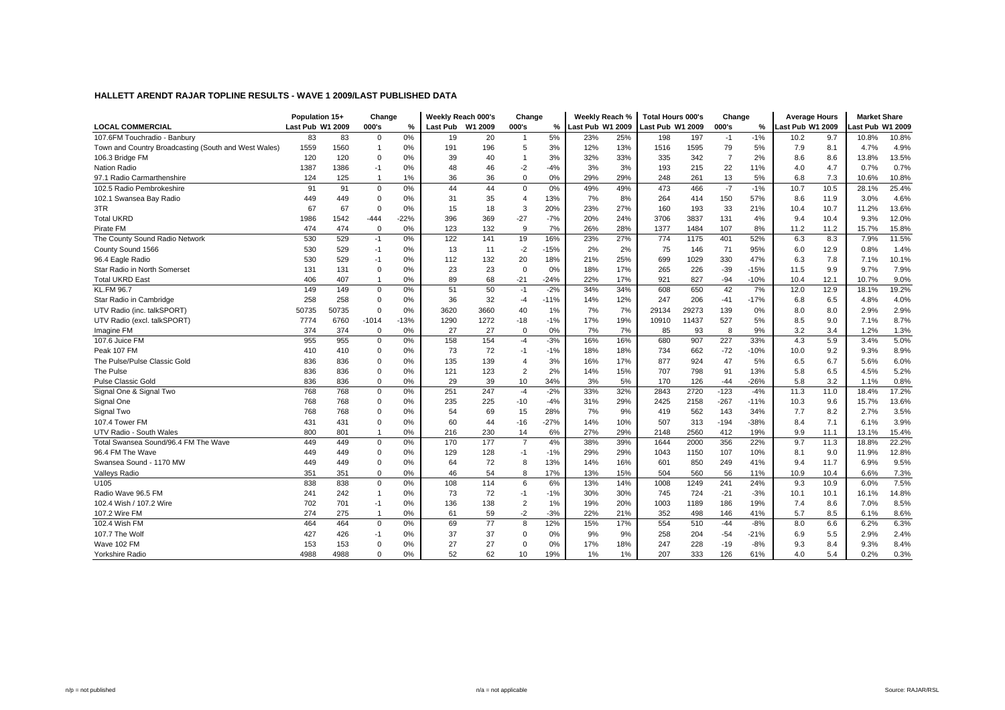|                                                      | Population 15+   |       | Change         |        | Weekly Reach 000's |         | Change                |        | Weekly Reach %  |     | <b>Total Hours 000's</b> |       | Change         |        | <b>Average Hours</b> |      | <b>Market Share</b> |       |
|------------------------------------------------------|------------------|-------|----------------|--------|--------------------|---------|-----------------------|--------|-----------------|-----|--------------------------|-------|----------------|--------|----------------------|------|---------------------|-------|
| <b>LOCAL COMMERCIAL</b>                              | Last Pub W1 2009 |       | 000's          | %      | <b>Last Pub</b>    | W1 2009 | 000's                 | %      | ast Pub W1 2009 |     | Last Pub W1 2009         |       | 000's          | %      | Last Pub W1 2009     |      | ast Pub W1 2009     |       |
| 107.6FM Touchradio - Banbury                         | 83               | 83    | $\mathbf 0$    | 0%     | 19                 | 20      | -1                    | 5%     | 23%             | 25% | 198                      | 197   | $-1$           | $-1%$  | 10.2                 | 9.7  | 10.8%               | 10.8% |
| Town and Country Broadcasting (South and West Wales) | 1559             | 1560  | $\overline{1}$ | 0%     | 191                | 196     | 5                     | 3%     | 12%             | 13% | 1516                     | 1595  | 79             | 5%     | 7.9                  | 8.1  | 4.7%                | 4.9%  |
| 106.3 Bridge FM                                      | 120              | 120   | $\mathbf 0$    | 0%     | 39                 | 40      |                       | 3%     | 32%             | 33% | 335                      | 342   | $\overline{7}$ | 2%     | 8.6                  | 8.6  | 13.8%               | 13.5% |
| <b>Nation Radio</b>                                  | 1387             | 1386  | $-1$           | 0%     | 48                 | 46      | $-2$                  | $-4%$  | 3%              | 3%  | 193                      | 215   | 22             | 11%    | 4.0                  | 4.7  | 0.7%                | 0.7%  |
| 97.1 Radio Carmarthenshire                           | 124              | 125   | $\overline{1}$ | 1%     | 36                 | 36      | $\Omega$              | 0%     | 29%             | 29% | 248                      | 261   | 13             | 5%     | 6.8                  | 7.3  | 10.6%               | 10.8% |
| 102.5 Radio Pembrokeshire                            | 91               | 91    | $\mathbf 0$    | 0%     | 44                 | 44      | $\bf 0$               | 0%     | 49%             | 49% | 473                      | 466   | $-7$           | $-1%$  | 10.7                 | 10.5 | 28.1%               | 25.4% |
| 102.1 Swansea Bay Radio                              | 449              | 449   | $\mathbf 0$    | 0%     | 31                 | 35      | $\boldsymbol{\Delta}$ | 13%    | 7%              | 8%  | 264                      | 414   | 150            | 57%    | 8.6                  | 11.9 | 3.0%                | 4.6%  |
| 3TR                                                  | 67               | 67    | $\mathbf 0$    | 0%     | 15                 | 18      | 3                     | 20%    | 23%             | 27% | 160                      | 193   | 33             | 21%    | 10.4                 | 10.7 | 11.2%               | 13.6% |
| <b>Total UKRD</b>                                    | 1986             | 1542  | $-444$         | $-22%$ | 396                | 369     | $-27$                 | $-7%$  | 20%             | 24% | 3706                     | 3837  | 131            | 4%     | 9.4                  | 10.4 | 9.3%                | 12.0% |
| Pirate FM                                            | 474              | 474   | $\mathbf 0$    | 0%     | 123                | 132     | 9                     | 7%     | 26%             | 28% | 1377                     | 1484  | 107            | 8%     | 11.2                 | 11.2 | 15.7%               | 15.8% |
| The County Sound Radio Network                       | 530              | 529   | $-1$           | 0%     | 122                | 141     | 19                    | 16%    | 23%             | 27% | 774                      | 1175  | 401            | 52%    | 6.3                  | 8.3  | 7.9%                | 11.5% |
| County Sound 1566                                    | 530              | 529   | $-1$           | 0%     | 13                 | 11      | $-2$                  | $-15%$ | 2%              | 2%  | 75                       | 146   | 71             | 95%    | 6.0                  | 12.9 | 0.8%                | 1.4%  |
| 96.4 Eagle Radio                                     | 530              | 529   | $-1$           | 0%     | 112                | 132     | 20                    | 18%    | 21%             | 25% | 699                      | 1029  | 330            | 47%    | 6.3                  | 7.8  | 7.1%                | 10.1% |
| Star Radio in North Somerset                         | 131              | 131   | $\mathbf 0$    | 0%     | 23                 | 23      | $\mathbf 0$           | 0%     | 18%             | 17% | 265                      | 226   | $-39$          | $-15%$ | 11.5                 | 9.9  | 9.7%                | 7.9%  |
| <b>Total UKRD East</b>                               | 406              | 407   | $\overline{1}$ | 0%     | 89                 | 68      | $-21$                 | $-24%$ | 22%             | 17% | 921                      | 827   | $-94$          | $-10%$ | 10.4                 | 12.1 | 10.7%               | 9.0%  |
| <b>KL.FM 96.7</b>                                    | 149              | 149   | $\mathbf 0$    | 0%     | 51                 | 50      | $-1$                  | $-2%$  | 34%             | 34% | 608                      | 650   | 42             | 7%     | 12.0                 | 12.9 | 18.1%               | 19.2% |
| Star Radio in Cambridge                              | 258              | 258   | $\mathbf 0$    | 0%     | 36                 | 32      | $-4$                  | $-11%$ | 14%             | 12% | 247                      | 206   | $-41$          | $-17%$ | 6.8                  | 6.5  | 4.8%                | 4.0%  |
| UTV Radio (inc. talkSPORT)                           | 50735            | 50735 | $\mathbf 0$    | 0%     | 3620               | 3660    | 40                    | 1%     | 7%              | 7%  | 29134                    | 29273 | 139            | 0%     | 8.0                  | 8.0  | 2.9%                | 2.9%  |
| UTV Radio (excl. talkSPORT)                          | 7774             | 6760  | $-1014$        | $-13%$ | 1290               | 1272    | $-18$                 | $-1%$  | 17%             | 19% | 10910                    | 11437 | 527            | 5%     | 8.5                  | 9.0  | 7.1%                | 8.7%  |
| Imagine FM                                           | 374              | 374   | $\mathbf 0$    | 0%     | 27                 | 27      | $\mathbf 0$           | 0%     | 7%              | 7%  | 85                       | 93    | 8              | 9%     | 3.2                  | 3.4  | 1.2%                | 1.3%  |
| 107.6 Juice FM                                       | 955              | 955   | $\mathbf 0$    | 0%     | 158                | 154     | $-4$                  | $-3%$  | 16%             | 16% | 680                      | 907   | 227            | 33%    | 4.3                  | 5.9  | 3.4%                | 5.0%  |
| Peak 107 FM                                          | 410              | 410   | $\mathbf 0$    | 0%     | 73                 | 72      | $-1$                  | $-1%$  | 18%             | 18% | 734                      | 662   | $-72$          | $-10%$ | 10.0                 | 9.2  | 9.3%                | 8.9%  |
| The Pulse/Pulse Classic Gold                         | 836              | 836   | $\mathbf 0$    | 0%     | 135                | 139     | $\overline{4}$        | 3%     | 16%             | 17% | 877                      | 924   | 47             | 5%     | 6.5                  | 6.7  | 5.6%                | 6.0%  |
| The Pulse                                            | 836              | 836   | $\mathbf 0$    | 0%     | 121                | 123     | $\overline{2}$        | 2%     | 14%             | 15% | 707                      | 798   | 91             | 13%    | 5.8                  | 6.5  | 4.5%                | 5.2%  |
| <b>Pulse Classic Gold</b>                            | 836              | 836   | $\mathbf 0$    | 0%     | 29                 | 39      | 10                    | 34%    | 3%              | 5%  | 170                      | 126   | $-44$          | $-26%$ | 5.8                  | 3.2  | 1.1%                | 0.8%  |
| Signal One & Signal Two                              | 768              | 768   | $\mathbf 0$    | 0%     | 251                | 247     | $-4$                  | $-2%$  | 33%             | 32% | 2843                     | 2720  | $-123$         | $-4%$  | 11.3                 | 11.0 | 18.4%               | 17.2% |
| Signal One                                           | 768              | 768   | $\mathbf 0$    | 0%     | 235                | 225     | $-10$                 | $-4%$  | 31%             | 29% | 2425                     | 2158  | $-267$         | $-11%$ | 10.3                 | 9.6  | 15.7%               | 13.6% |
| Signal Two                                           | 768              | 768   | $\mathbf 0$    | 0%     | 54                 | 69      | 15                    | 28%    | 7%              | 9%  | 419                      | 562   | 143            | 34%    | 7.7                  | 8.2  | 2.7%                | 3.5%  |
| 107.4 Tower FM                                       | 431              | 431   | $\mathbf 0$    | 0%     | 60                 | 44      | $-16$                 | $-27%$ | 14%             | 10% | 507                      | 313   | $-194$         | $-38%$ | 8.4                  | 7.1  | 6.1%                | 3.9%  |
| UTV Radio - South Wales                              | 800              | 801   | $\mathbf{1}$   | 0%     | 216                | 230     | 14                    | 6%     | 27%             | 29% | 2148                     | 2560  | 412            | 19%    | 9.9                  | 11.1 | 13.1%               | 15.4% |
| Total Swansea Sound/96.4 FM The Wave                 | 449              | 449   | $\mathbf 0$    | 0%     | 170                | 177     | $\overline{7}$        | 4%     | 38%             | 39% | 1644                     | 2000  | 356            | 22%    | 9.7                  | 11.3 | 18.8%               | 22.2% |
| 96.4 FM The Wave                                     | 449              | 449   | $\mathbf 0$    | 0%     | 129                | 128     | $-1$                  | $-1%$  | 29%             | 29% | 1043                     | 1150  | 107            | 10%    | 8.1                  | 9.0  | 11.9%               | 12.8% |
| Swansea Sound - 1170 MW                              | 449              | 449   | $\mathbf 0$    | 0%     | 64                 | 72      | 8                     | 13%    | 14%             | 16% | 601                      | 850   | 249            | 41%    | 9.4                  | 11.7 | 6.9%                | 9.5%  |
| Valleys Radio                                        | 351              | 351   | $\mathbf 0$    | 0%     | 46                 | 54      | 8                     | 17%    | 13%             | 15% | 504                      | 560   | 56             | 11%    | 10.9                 | 10.4 | 6.6%                | 7.3%  |
| U105                                                 | 838              | 838   | $\mathbf 0$    | 0%     | 108                | 114     | 6                     | 6%     | 13%             | 14% | 1008                     | 1249  | 241            | 24%    | 9.3                  | 10.9 | 6.0%                | 7.5%  |
| Radio Wave 96.5 FM                                   | 241              | 242   | $\mathbf{1}$   | 0%     | 73                 | 72      | $-1$                  | $-1%$  | 30%             | 30% | 745                      | 724   | $-21$          | $-3%$  | 10.1                 | 10.1 | 16.1%               | 14.8% |
| 102.4 Wish / 107.2 Wire                              | 702              | 701   | $-1$           | 0%     | 136                | 138     | $\overline{2}$        | 1%     | 19%             | 20% | 1003                     | 1189  | 186            | 19%    | 7.4                  | 8.6  | 7.0%                | 8.5%  |
| 107.2 Wire FM                                        | 274              | 275   | $\mathbf{1}$   | 0%     | 61                 | 59      | $-2$                  | $-3%$  | 22%             | 21% | 352                      | 498   | 146            | 41%    | 5.7                  | 8.5  | 6.1%                | 8.6%  |
| 102.4 Wish FM                                        | 464              | 464   | $\mathbf 0$    | 0%     | 69                 | 77      | 8                     | 12%    | 15%             | 17% | 554                      | 510   | $-44$          | $-8%$  | 8.0                  | 6.6  | 6.2%                | 6.3%  |
| 107.7 The Wolf                                       | 427              | 426   | $-1$           | 0%     | 37                 | 37      | $\Omega$              | 0%     | 9%              | 9%  | 258                      | 204   | $-54$          | $-21%$ | 6.9                  | 5.5  | 2.9%                | 2.4%  |
| Wave 102 FM                                          | 153              | 153   | $\mathbf 0$    | 0%     | 27                 | 27      | $\mathbf 0$           | 0%     | 17%             | 18% | 247                      | 228   | $-19$          | $-8%$  | 9.3                  | 8.4  | 9.3%                | 8.4%  |
| <b>Yorkshire Radio</b>                               | 4988             | 4988  | $\Omega$       | 0%     | 52                 | 62      | 10                    | 19%    | 1%              | 1%  | 207                      | 333   | 126            | 61%    | 4.0                  | 5.4  | 0.2%                | 0.3%  |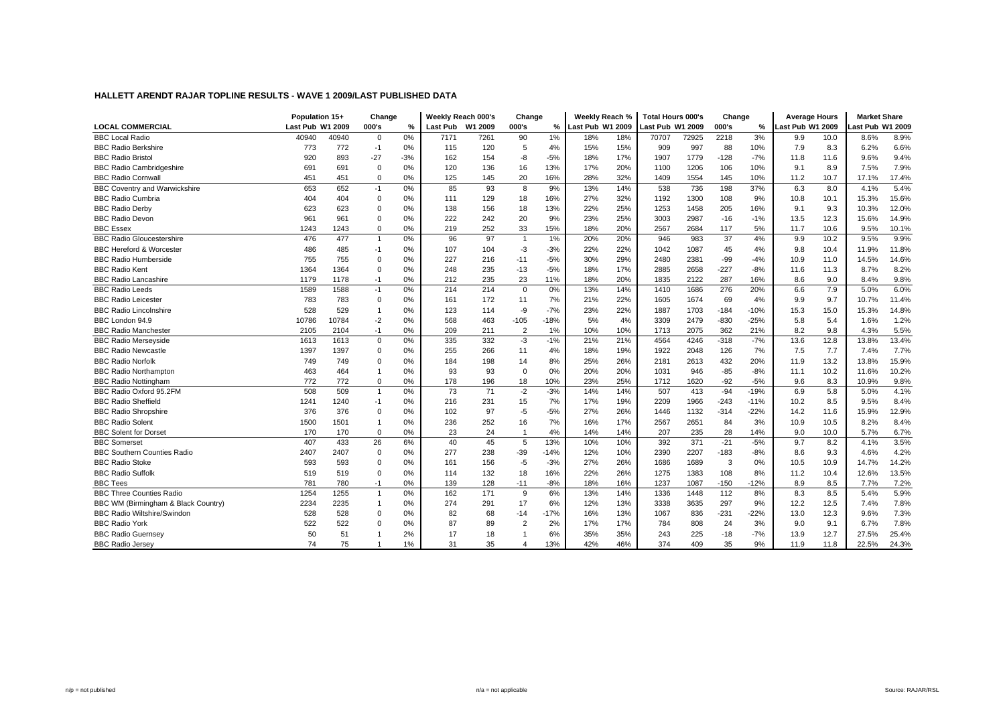|                                      | Population 15+   |       | Change         |       | Weekly Reach 000's |         | Change         |        | Weekly Reach %   |     | <b>Total Hours 000's</b> |       | Change       |        | <b>Average Hours</b> |      | <b>Market Share</b> |       |
|--------------------------------------|------------------|-------|----------------|-------|--------------------|---------|----------------|--------|------------------|-----|--------------------------|-------|--------------|--------|----------------------|------|---------------------|-------|
| <b>LOCAL COMMERCIAL</b>              | Last Pub W1 2009 |       | 000's          | %     | Last Pub           | W1 2009 | 000's          | %      | Last Pub W1 2009 |     | Last Pub W1 2009         |       | 000's        | %      | Last Pub W1 2009     |      | ast Pub W1 2009     |       |
| <b>BBC Local Radio</b>               | 40940            | 40940 | $\mathbf 0$    | 0%    | 7171               | 7261    | 90             | 1%     | 18%              | 18% | 70707                    | 72925 | 2218         | 3%     | 9.9                  | 10.0 | 8.6%                | 8.9%  |
| <b>BBC Radio Berkshire</b>           | 773              | 772   | $-1$           | 0%    | 115                | 120     | 5              | 4%     | 15%              | 15% | 909                      | 997   | 88           | 10%    | 7.9                  | 8.3  | 6.2%                | 6.6%  |
| <b>BBC Radio Bristol</b>             | 920              | 893   | $-27$          | $-3%$ | 162                | 154     | -8             | $-5%$  | 18%              | 17% | 1907                     | 1779  | $-128$       | $-7%$  | 11.8                 | 11.6 | 9.6%                | 9.4%  |
| <b>BBC Radio Cambridgeshire</b>      | 691              | 691   | $\mathbf 0$    | 0%    | 120                | 136     | 16             | 13%    | 17%              | 20% | 1100                     | 1206  | 106          | 10%    | 9.1                  | 8.9  | 7.5%                | 7.9%  |
| <b>BBC Radio Cornwall</b>            | 451              | 451   | $\mathbf 0$    | 0%    | 125                | 145     | 20             | 16%    | 28%              | 32% | 1409                     | 1554  | 145          | 10%    | 11.2                 | 10.7 | 17.1%               | 17.4% |
| <b>BBC Coventry and Warwickshire</b> | 653              | 652   | $-1$           | 0%    | 85                 | 93      | 8              | 9%     | 13%              | 14% | 538                      | 736   | 198          | 37%    | 6.3                  | 8.0  | 4.1%                | 5.4%  |
| <b>BBC Radio Cumbria</b>             | 404              | 404   | $\mathbf 0$    | 0%    | 111                | 129     | 18             | 16%    | 27%              | 32% | 1192                     | 1300  | 108          | 9%     | 10.8                 | 10.1 | 15.3%               | 15.6% |
| <b>BBC Radio Derby</b>               | 623              | 623   | $\mathbf 0$    | 0%    | 138                | 156     | 18             | 13%    | 22%              | 25% | 1253                     | 1458  | 205          | 16%    | 9.1                  | 9.3  | 10.3%               | 12.0% |
| <b>BBC Radio Devon</b>               | 961              | 961   | $\mathbf 0$    | 0%    | 222                | 242     | 20             | 9%     | 23%              | 25% | 3003                     | 2987  | $-16$        | $-1%$  | 13.5                 | 12.3 | 15.6%               | 14.9% |
| <b>BBC Essex</b>                     | 1243             | 1243  | $\mathbf 0$    | 0%    | 219                | 252     | 33             | 15%    | 18%              | 20% | 2567                     | 2684  | 117          | 5%     | 11.7                 | 10.6 | 9.5%                | 10.1% |
| <b>BBC Radio Gloucestershire</b>     | 476              | 477   | $\overline{1}$ | 0%    | 96                 | 97      | $\overline{1}$ | 1%     | 20%              | 20% | 946                      | 983   | 37           | 4%     | 9.9                  | 10.2 | 9.5%                | 9.9%  |
| <b>BBC Hereford &amp; Worcester</b>  | 486              | 485   | $-1$           | 0%    | 107                | 104     | $-3$           | $-3%$  | 22%              | 22% | 1042                     | 1087  | 45           | 4%     | 9.8                  | 10.4 | 11.9%               | 11.8% |
| <b>BBC Radio Humberside</b>          | 755              | 755   | $\mathbf 0$    | 0%    | 227                | 216     | $-11$          | $-5%$  | 30%              | 29% | 2480                     | 2381  | $-99$        | $-4%$  | 10.9                 | 11.0 | 14.5%               | 14.6% |
| <b>BBC Radio Kent</b>                | 1364             | 1364  | $\mathbf 0$    | 0%    | 248                | 235     | $-13$          | $-5%$  | 18%              | 17% | 2885                     | 2658  | $-227$       | $-8%$  | 11.6                 | 11.3 | 8.7%                | 8.2%  |
| <b>BBC Radio Lancashire</b>          | 1179             | 1178  | $-1$           | 0%    | 212                | 235     | 23             | 11%    | 18%              | 20% | 1835                     | 2122  | 287          | 16%    | 8.6                  | 9.0  | 8.4%                | 9.8%  |
| <b>BBC Radio Leeds</b>               | 1589             | 1588  | $-1$           | 0%    | 214                | 214     | $\mathbf 0$    | 0%     | 13%              | 14% | 1410                     | 1686  | 276          | 20%    | 6.6                  | 7.9  | 5.0%                | 6.0%  |
| <b>BBC Radio Leicester</b>           | 783              | 783   | $\mathbf 0$    | 0%    | 161                | 172     | 11             | 7%     | 21%              | 22% | 1605                     | 1674  | 69           | 4%     | 9.9                  | 9.7  | 10.7%               | 11.4% |
| <b>BBC Radio Lincolnshire</b>        | 528              | 529   | $\overline{1}$ | 0%    | 123                | 114     | $-9$           | $-7%$  | 23%              | 22% | 1887                     | 1703  | $-184$       | $-10%$ | 15.3                 | 15.0 | 15.3%               | 14.8% |
| BBC London 94.9                      | 10786            | 10784 | $-2$           | 0%    | 568                | 463     | $-105$         | $-18%$ | 5%               | 4%  | 3309                     | 2479  | $-830$       | $-25%$ | 5.8                  | 5.4  | 1.6%                | 1.2%  |
| <b>BBC Radio Manchester</b>          | 2105             | 2104  | $-1$           | 0%    | 209                | 211     | $\overline{2}$ | 1%     | 10%              | 10% | 1713                     | 2075  | 362          | 21%    | 8.2                  | 9.8  | 4.3%                | 5.5%  |
| <b>BBC Radio Merseyside</b>          | 1613             | 1613  | $\mathbf 0$    | 0%    | 335                | 332     | $-3$           | $-1%$  | 21%              | 21% | 4564                     | 4246  | $-318$       | $-7%$  | 13.6                 | 12.8 | 13.8%               | 13.4% |
| <b>BBC Radio Newcastle</b>           | 1397             | 1397  | $\mathbf 0$    | 0%    | 255                | 266     | 11             | 4%     | 18%              | 19% | 1922                     | 2048  | 126          | 7%     | 7.5                  | 7.7  | 7.4%                | 7.7%  |
| <b>BBC Radio Norfolk</b>             | 749              | 749   | $\mathbf 0$    | 0%    | 184                | 198     | 14             | 8%     | 25%              | 26% | 2181                     | 2613  | 432          | 20%    | 11.9                 | 13.2 | 13.8%               | 15.9% |
| <b>BBC Radio Northampton</b>         | 463              | 464   | $\overline{1}$ | 0%    | 93                 | 93      | $\mathbf 0$    | 0%     | 20%              | 20% | 1031                     | 946   | $-85$        | $-8%$  | 11.1                 | 10.2 | 11.6%               | 10.2% |
| <b>BBC Radio Nottingham</b>          | 772              | 772   | $\mathbf 0$    | 0%    | 178                | 196     | 18             | 10%    | 23%              | 25% | 1712                     | 1620  | $-92$        | $-5%$  | 9.6                  | 8.3  | 10.9%               | 9.8%  |
| BBC Radio Oxford 95.2FM              | 508              | 509   | $\overline{1}$ | 0%    | 73                 | 71      | $-2$           | $-3%$  | 14%              | 14% | 507                      | 413   | $-94$        | $-19%$ | 6.9                  | 5.8  | 5.0%                | 4.1%  |
| <b>BBC Radio Sheffield</b>           | 1241             | 1240  | $-1$           | 0%    | 216                | 231     | 15             | 7%     | 17%              | 19% | 2209                     | 1966  | $-243$       | $-11%$ | 10.2                 | 8.5  | 9.5%                | 8.4%  |
| <b>BBC Radio Shropshire</b>          | 376              | 376   | $\mathbf 0$    | 0%    | 102                | 97      | $-5$           | $-5%$  | 27%              | 26% | 1446                     | 1132  | $-314$       | $-22%$ | 14.2                 | 11.6 | 15.9%               | 12.9% |
| <b>BBC Radio Solent</b>              | 1500             | 1501  | $\overline{1}$ | 0%    | 236                | 252     | 16             | 7%     | 16%              | 17% | 2567                     | 2651  | 84           | 3%     | 10.9                 | 10.5 | 8.2%                | 8.4%  |
| <b>BBC Solent for Dorset</b>         | 170              | 170   | $\mathbf 0$    | 0%    | 23                 | 24      |                | 4%     | 14%              | 14% | 207                      | 235   | 28           | 14%    | 9.0                  | 10.0 | 5.7%                | 6.7%  |
| <b>BBC Somerset</b>                  | 407              | 433   | 26             | 6%    | 40                 | 45      | 5              | 13%    | 10%              | 10% | 392                      | 371   | $-21$        | $-5%$  | 9.7                  | 8.2  | 4.1%                | 3.5%  |
| <b>BBC Southern Counties Radio</b>   | 2407             | 2407  | $\mathbf 0$    | 0%    | 277                | 238     | $-39$          | $-14%$ | 12%              | 10% | 2390                     | 2207  | $-183$       | $-8%$  | 8.6                  | 9.3  | 4.6%                | 4.2%  |
| <b>BBC Radio Stoke</b>               | 593              | 593   | $\mathbf 0$    | 0%    | 161                | 156     | $-5$           | $-3%$  | 27%              | 26% | 1686                     | 1689  | $\mathbf{3}$ | 0%     | 10.5                 | 10.9 | 14.7%               | 14.2% |
| <b>BBC Radio Suffolk</b>             | 519              | 519   | $\mathbf 0$    | 0%    | 114                | 132     | 18             | 16%    | 22%              | 26% | 1275                     | 1383  | 108          | 8%     | 11.2                 | 10.4 | 12.6%               | 13.5% |
| <b>BBC Tees</b>                      | 781              | 780   | $-1$           | 0%    | 139                | 128     | $-11$          | $-8%$  | 18%              | 16% | 1237                     | 1087  | $-150$       | -12%   | 8.9                  | 8.5  | 7.7%                | 7.2%  |
| <b>BBC Three Counties Radio</b>      | 1254             | 1255  | $\mathbf{1}$   | 0%    | 162                | 171     | 9              | 6%     | 13%              | 14% | 1336                     | 1448  | 112          | 8%     | 8.3                  | 8.5  | 5.4%                | 5.9%  |
| BBC WM (Birmingham & Black Country)  | 2234             | 2235  | $\overline{1}$ | 0%    | 274                | 291     | 17             | 6%     | 12%              | 13% | 3338                     | 3635  | 297          | 9%     | 12.2                 | 12.5 | 7.4%                | 7.8%  |
| <b>BBC Radio Wiltshire/Swindon</b>   | 528              | 528   | $\mathbf 0$    | 0%    | 82                 | 68      | $-14$          | $-17%$ | 16%              | 13% | 1067                     | 836   | $-231$       | $-22%$ | 13.0                 | 12.3 | 9.6%                | 7.3%  |
| <b>BBC Radio York</b>                | 522              | 522   | $\Omega$       | 0%    | 87                 | 89      | $\overline{2}$ | 2%     | 17%              | 17% | 784                      | 808   | 24           | 3%     | 9.0                  | 9.1  | 6.7%                | 7.8%  |
| <b>BBC Radio Guernsey</b>            | 50               | 51    |                | 2%    | 17                 | 18      |                | 6%     | 35%              | 35% | 243                      | 225   | $-18$        | $-7%$  | 13.9                 | 12.7 | 27.5%               | 25.4% |
| <b>BBC Radio Jersey</b>              | 74               | 75    | $\overline{1}$ | 1%    | 31                 | 35      | 4              | 13%    | 42%              | 46% | 374                      | 409   | 35           | 9%     | 11.9                 | 11.8 | 22.5%               | 24.3% |